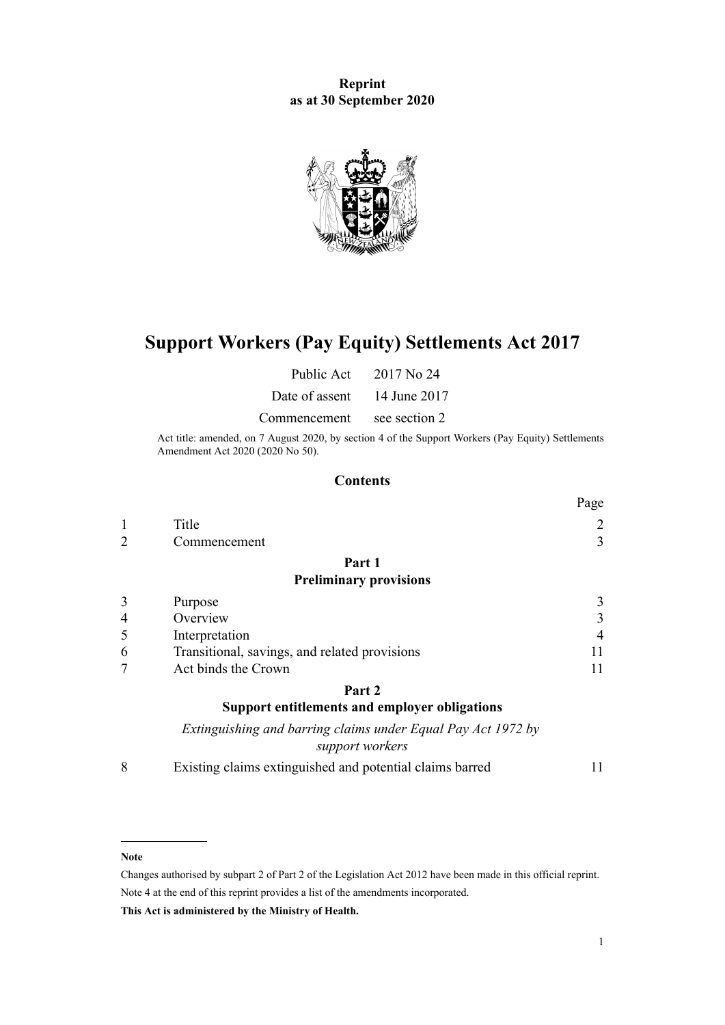**Reprint as at 30 September 2020**



# **Support Workers (Pay Equity) Settlements Act 2017**

Public Act 2017 No 24

Date of assent 14 June 2017

Commencement see section 2

Act title: amended, on 7 August 2020, by [section 4](http://legislation.govt.nz/pdflink.aspx?id=LMS178672) of the Support Workers (Pay Equity) Settlements Amendment Act 2020 (2020 No 50).

## **Contents**

|   |                                                                                 | Page           |
|---|---------------------------------------------------------------------------------|----------------|
| 1 | Title                                                                           | 2              |
| 2 | Commencement                                                                    | 3              |
|   | Part 1                                                                          |                |
|   | <b>Preliminary provisions</b>                                                   |                |
| 3 | Purpose                                                                         | 3              |
| 4 | Overview                                                                        | 3              |
| 5 | Interpretation                                                                  | $\overline{4}$ |
| 6 | Transitional, savings, and related provisions                                   | 11             |
| 7 | Act binds the Crown                                                             | 11             |
|   | Part <sub>2</sub>                                                               |                |
|   | <b>Support entitlements and employer obligations</b>                            |                |
|   | Extinguishing and barring claims under Equal Pay Act 1972 by<br>support workers |                |

[8](#page-10-0) [Existing claims extinguished and potential claims barred](#page-10-0) [11](#page-10-0)

#### **Note**

Changes authorised by [subpart 2](http://legislation.govt.nz/pdflink.aspx?id=DLM2998524) of Part 2 of the Legislation Act 2012 have been made in this official reprint. Note 4 at the end of this reprint provides a list of the amendments incorporated.

**This Act is administered by the Ministry of Health.**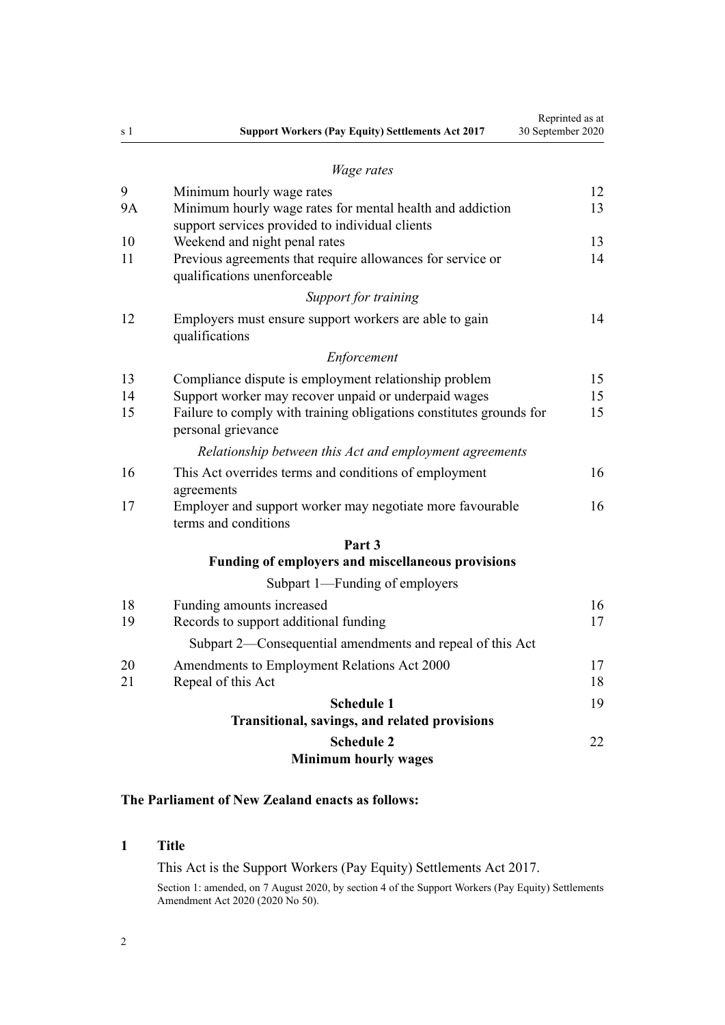<span id="page-1-0"></span>

| s 1 | <b>Support Workers (Pay Equity) Settlements Act 2017</b>                                                     | Reprinted as at<br>30 September 2020 |
|-----|--------------------------------------------------------------------------------------------------------------|--------------------------------------|
|     | <i>Wage rates</i>                                                                                            |                                      |
| 9   | Minimum hourly wage rates                                                                                    | 12                                   |
| 9A  | Minimum hourly wage rates for mental health and addiction<br>support services provided to individual clients | 13                                   |
| 10  | Weekend and night penal rates                                                                                | 13                                   |
| 11  | Previous agreements that require allowances for service or<br>qualifications unenforceable                   | 14                                   |
|     | Support for training                                                                                         |                                      |
| 12  | Employers must ensure support workers are able to gain<br>qualifications                                     | 14                                   |
|     | Enforcement                                                                                                  |                                      |
| 13  | Compliance dispute is employment relationship problem                                                        | 15                                   |
| 14  | Support worker may recover unpaid or underpaid wages                                                         | 15                                   |
| 15  | Failure to comply with training obligations constitutes grounds for<br>personal grievance                    | 15                                   |
|     | Relationship between this Act and employment agreements                                                      |                                      |
| 16  | This Act overrides terms and conditions of employment<br>agreements                                          | 16                                   |
| 17  | Employer and support worker may negotiate more favourable<br>terms and conditions                            | 16                                   |
|     | Part 3                                                                                                       |                                      |
|     | <b>Funding of employers and miscellaneous provisions</b>                                                     |                                      |
|     | Subpart 1—Funding of employers                                                                               |                                      |
| 18  | Funding amounts increased                                                                                    | 16                                   |
| 19  | Records to support additional funding                                                                        | 17                                   |
|     | Subpart 2—Consequential amendments and repeal of this Act                                                    |                                      |
| 20  | Amendments to Employment Relations Act 2000                                                                  | 17                                   |
| 21  | Repeal of this Act                                                                                           | 18                                   |
|     | <b>Schedule 1</b>                                                                                            | 19                                   |
|     | Transitional, savings, and related provisions                                                                |                                      |
|     | <b>Schedule 2</b><br><b>Minimum hourly wages</b>                                                             | 22                                   |

## **The Parliament of New Zealand enacts as follows:**

## **1 Title**

This Act is the Support Workers (Pay Equity) Settlements Act 2017. Section 1: amended, on 7 August 2020, by [section 4](http://legislation.govt.nz/pdflink.aspx?id=LMS178672) of the Support Workers (Pay Equity) Settlements Amendment Act 2020 (2020 No 50).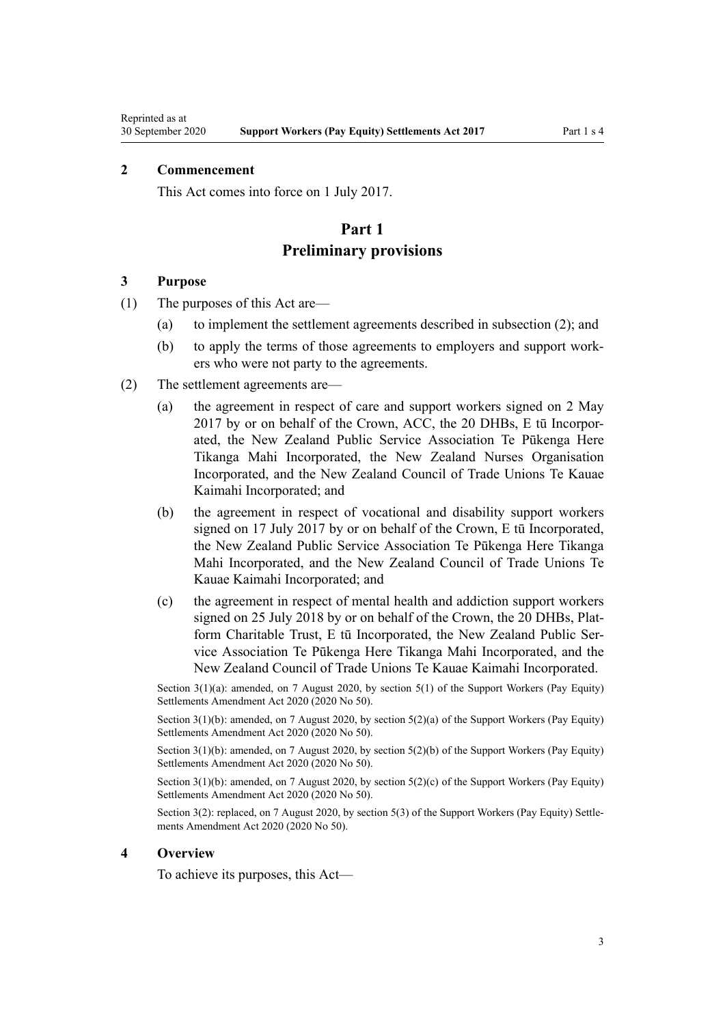## <span id="page-2-0"></span>**2 Commencement**

This Act comes into force on 1 July 2017.

## **Part 1 Preliminary provisions**

#### **3 Purpose**

- (1) The purposes of this Act are—
	- (a) to implement the settlement agreements described in subsection (2); and
	- (b) to apply the terms of those agreements to employers and support workers who were not party to the agreements.
- (2) The settlement agreements are—
	- (a) the agreement in respect of care and support workers signed on 2 May 2017 by or on behalf of the Crown, ACC, the 20 DHBs, E tū Incorporated, the New Zealand Public Service Association Te Pūkenga Here Tikanga Mahi Incorporated, the New Zealand Nurses Organisation Incorporated, and the New Zealand Council of Trade Unions Te Kauae Kaimahi Incorporated; and
	- (b) the agreement in respect of vocational and disability support workers signed on 17 July 2017 by or on behalf of the Crown, E tū Incorporated, the New Zealand Public Service Association Te Pūkenga Here Tikanga Mahi Incorporated, and the New Zealand Council of Trade Unions Te Kauae Kaimahi Incorporated; and
	- (c) the agreement in respect of mental health and addiction support workers signed on 25 July 2018 by or on behalf of the Crown, the 20 DHBs, Platform Charitable Trust, E tū Incorporated, the New Zealand Public Service Association Te Pūkenga Here Tikanga Mahi Incorporated, and the New Zealand Council of Trade Unions Te Kauae Kaimahi Incorporated.

Section 3(1)(a): amended, on 7 August 2020, by [section 5\(1\)](http://legislation.govt.nz/pdflink.aspx?id=LMS178673) of the Support Workers (Pay Equity) Settlements Amendment Act 2020 (2020 No 50).

Section 3(1)(b): amended, on 7 August 2020, by [section 5\(2\)\(a\)](http://legislation.govt.nz/pdflink.aspx?id=LMS178673) of the Support Workers (Pay Equity) Settlements Amendment Act 2020 (2020 No 50).

Section 3(1)(b): amended, on 7 August 2020, by [section 5\(2\)\(b\)](http://legislation.govt.nz/pdflink.aspx?id=LMS178673) of the Support Workers (Pay Equity) Settlements Amendment Act 2020 (2020 No 50).

Section 3(1)(b): amended, on 7 August 2020, by [section 5\(2\)\(c\)](http://legislation.govt.nz/pdflink.aspx?id=LMS178673) of the Support Workers (Pay Equity) Settlements Amendment Act 2020 (2020 No 50).

Section 3(2): replaced, on 7 August 2020, by [section 5\(3\)](http://legislation.govt.nz/pdflink.aspx?id=LMS178673) of the Support Workers (Pay Equity) Settlements Amendment Act 2020 (2020 No 50).

#### **4 Overview**

To achieve its purposes, this Act—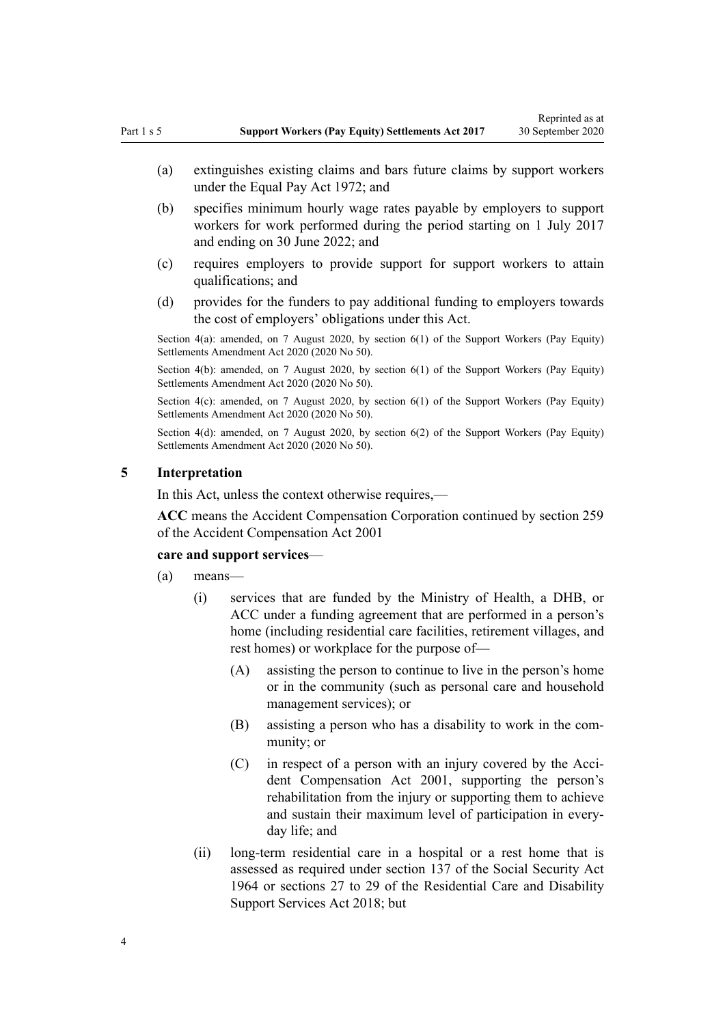- <span id="page-3-0"></span>(a) extinguishes existing claims and bars future claims by support workers under the [Equal Pay Act 1972](http://legislation.govt.nz/pdflink.aspx?id=DLM407769); and
- (b) specifies minimum hourly wage rates payable by employers to support workers for work performed during the period starting on 1 July 2017 and ending on 30 June 2022; and
- (c) requires employers to provide support for support workers to attain qualifications; and
- (d) provides for the funders to pay additional funding to employers towards the cost of employers' obligations under this Act.

Section 4(a): amended, on 7 August 2020, by [section 6\(1\)](http://legislation.govt.nz/pdflink.aspx?id=LMS178674) of the Support Workers (Pay Equity) Settlements Amendment Act 2020 (2020 No 50).

Section 4(b): amended, on 7 August 2020, by [section 6\(1\)](http://legislation.govt.nz/pdflink.aspx?id=LMS178674) of the Support Workers (Pay Equity) Settlements Amendment Act 2020 (2020 No 50).

Section 4(c): amended, on 7 August 2020, by [section 6\(1\)](http://legislation.govt.nz/pdflink.aspx?id=LMS178674) of the Support Workers (Pay Equity) Settlements Amendment Act 2020 (2020 No 50).

Section 4(d): amended, on 7 August 2020, by [section 6\(2\)](http://legislation.govt.nz/pdflink.aspx?id=LMS178674) of the Support Workers (Pay Equity) Settlements Amendment Act 2020 (2020 No 50).

### **5 Interpretation**

In this Act, unless the context otherwise requires,—

**ACC** means the Accident Compensation Corporation continued by [section 259](http://legislation.govt.nz/pdflink.aspx?id=DLM103134) of the Accident Compensation Act 2001

#### **care and support services**—

- (a) means—
	- (i) services that are funded by the Ministry of Health, a DHB, or ACC under a funding agreement that are performed in a person's home (including residential care facilities, retirement villages, and rest homes) or workplace for the purpose of—
		- (A) assisting the person to continue to live in the person's home or in the community (such as personal care and household management services); or
		- (B) assisting a person who has a disability to work in the community; or
		- (C) in respect of a person with an injury covered by the [Acci](http://legislation.govt.nz/pdflink.aspx?id=DLM99493)[dent Compensation Act 2001](http://legislation.govt.nz/pdflink.aspx?id=DLM99493), supporting the person's rehabilitation from the injury or supporting them to achieve and sustain their maximum level of participation in everyday life; and
	- (ii) long-term residential care in a hospital or a rest home that is assessed as required under [section 137](http://legislation.govt.nz/pdflink.aspx?id=DLM366096) of the Social Security Act 1964 or [sections 27 to 29](http://legislation.govt.nz/pdflink.aspx?id=LMS41584) of the Residential Care and Disability Support Services Act 2018; but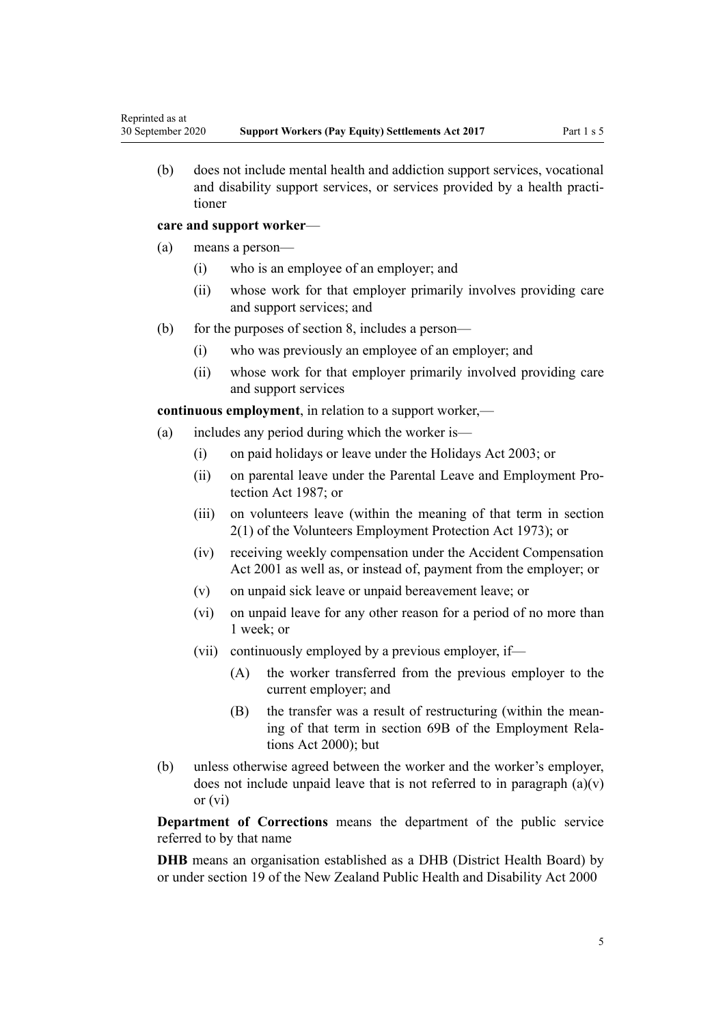(b) does not include mental health and addiction support services, vocational and disability support services, or services provided by a health practitioner

#### **care and support worker**—

- (a) means a person—
	- (i) who is an employee of an employer; and
	- (ii) whose work for that employer primarily involves providing care and support services; and
- (b) for the purposes of [section 8,](#page-10-0) includes a person—
	- (i) who was previously an employee of an employer; and
	- (ii) whose work for that employer primarily involved providing care and support services

**continuous employment**, in relation to a support worker,—

- (a) includes any period during which the worker is—
	- (i) on paid holidays or leave under the [Holidays Act 2003;](http://legislation.govt.nz/pdflink.aspx?id=DLM236386) or
	- (ii) on parental leave under the [Parental Leave and Employment Pro](http://legislation.govt.nz/pdflink.aspx?id=DLM120103)[tection Act 1987;](http://legislation.govt.nz/pdflink.aspx?id=DLM120103) or
	- (iii) on volunteers leave (within the meaning of that term in [section](http://legislation.govt.nz/pdflink.aspx?id=DLM409771) [2\(1\)](http://legislation.govt.nz/pdflink.aspx?id=DLM409771) of the Volunteers Employment Protection Act 1973); or
	- (iv) receiving weekly compensation under the [Accident Compensation](http://legislation.govt.nz/pdflink.aspx?id=DLM99493) [Act 2001](http://legislation.govt.nz/pdflink.aspx?id=DLM99493) as well as, or instead of, payment from the employer; or
	- (v) on unpaid sick leave or unpaid bereavement leave; or
	- (vi) on unpaid leave for any other reason for a period of no more than 1 week; or
	- (vii) continuously employed by a previous employer, if—
		- (A) the worker transferred from the previous employer to the current employer; and
		- (B) the transfer was a result of restructuring (within the meaning of that term in [section 69B](http://legislation.govt.nz/pdflink.aspx?id=DLM59181) of the Employment Relations Act 2000); but
- (b) unless otherwise agreed between the worker and the worker's employer, does not include unpaid leave that is not referred to in paragraph  $(a)(v)$ or (vi)

**Department of Corrections** means the department of the public service referred to by that name

**DHB** means an organisation established as a DHB (District Health Board) by or under [section 19](http://legislation.govt.nz/pdflink.aspx?id=DLM80802) of the New Zealand Public Health and Disability Act 2000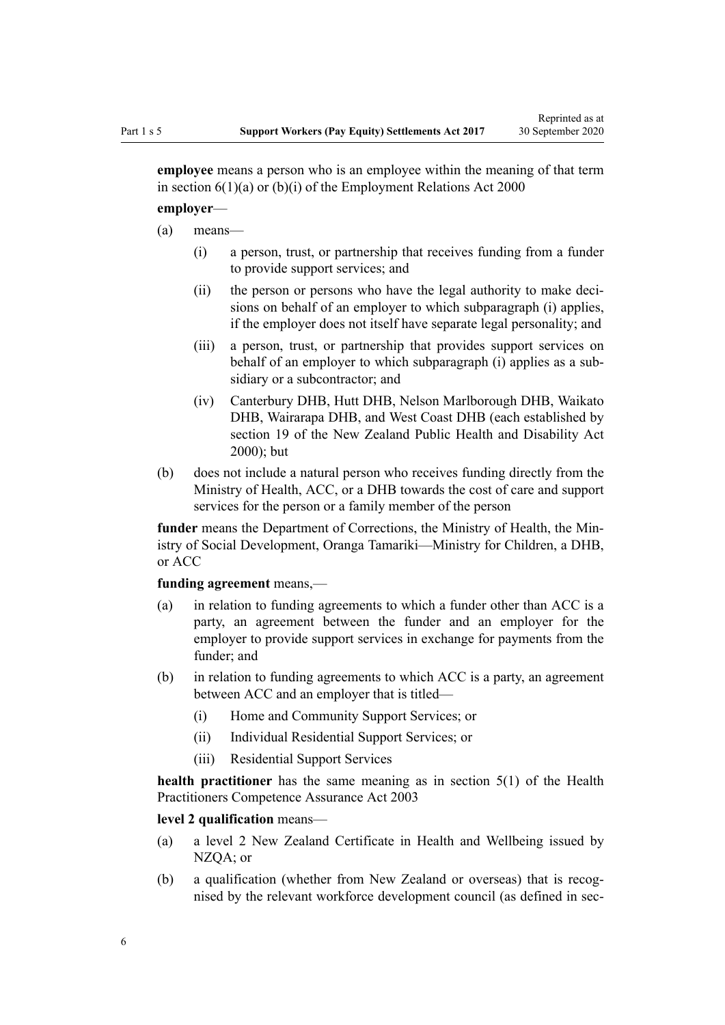Reprinted as at

**employee** means a person who is an employee within the meaning of that term in section  $6(1)(a)$  or  $(b)(i)$  of the Employment Relations Act 2000

#### **employer**—

- (a) means—
	- (i) a person, trust, or partnership that receives funding from a funder to provide support services; and
	- (ii) the person or persons who have the legal authority to make decisions on behalf of an employer to which subparagraph (i) applies, if the employer does not itself have separate legal personality; and
	- (iii) a person, trust, or partnership that provides support services on behalf of an employer to which subparagraph (i) applies as a subsidiary or a subcontractor; and
	- (iv) Canterbury DHB, Hutt DHB, Nelson Marlborough DHB, Waikato DHB, Wairarapa DHB, and West Coast DHB (each established by [section 19](http://legislation.govt.nz/pdflink.aspx?id=DLM80802) of the New Zealand Public Health and Disability Act  $2000$ ); but
- (b) does not include a natural person who receives funding directly from the Ministry of Health, ACC, or a DHB towards the cost of care and support services for the person or a family member of the person

**funder** means the Department of Corrections, the Ministry of Health, the Ministry of Social Development, Oranga Tamariki—Ministry for Children, a DHB, or ACC

#### **funding agreement** means,—

- (a) in relation to funding agreements to which a funder other than ACC is a party, an agreement between the funder and an employer for the employer to provide support services in exchange for payments from the funder; and
- (b) in relation to funding agreements to which ACC is a party, an agreement between ACC and an employer that is titled—
	- (i) Home and Community Support Services; or
	- (ii) Individual Residential Support Services; or
	- (iii) Residential Support Services

**health practitioner** has the same meaning as in [section 5\(1\)](http://legislation.govt.nz/pdflink.aspx?id=DLM203321) of the Health Practitioners Competence Assurance Act 2003

#### **level 2 qualification** means—

- (a) a level 2 New Zealand Certificate in Health and Wellbeing issued by NZQA; or
- (b) a qualification (whether from New Zealand or overseas) that is recognised by the relevant workforce development council (as defined in [sec-](http://legislation.govt.nz/pdflink.aspx?id=LMS171311)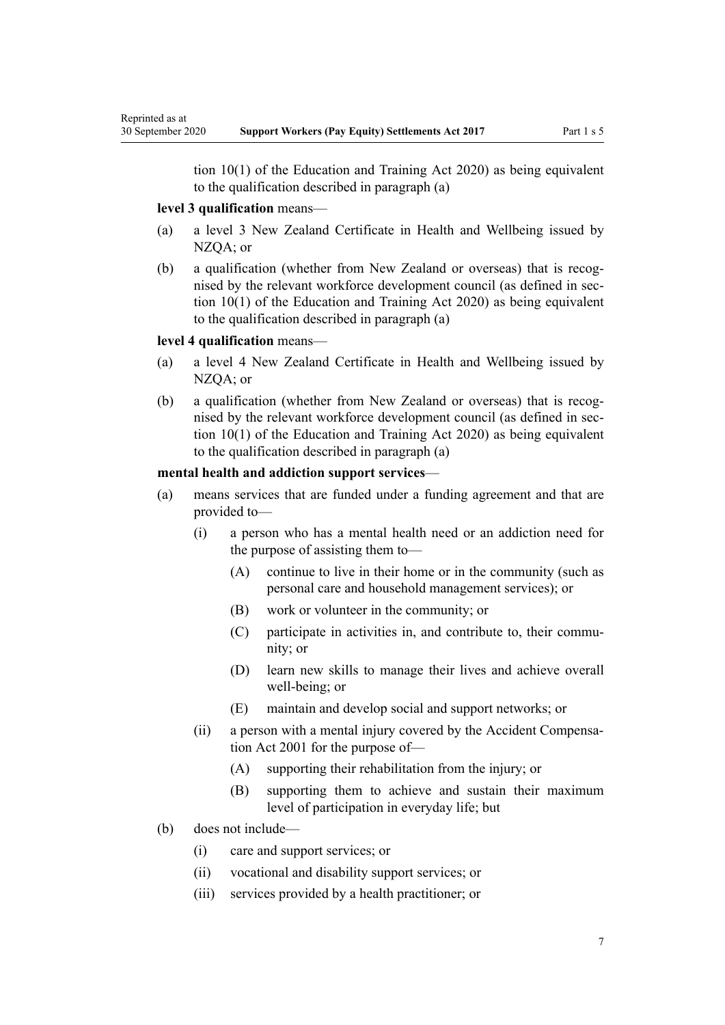tion  $10(1)$  of the Education and Training Act 2020) as being equivalent to the qualification described in paragraph (a)

## **level 3 qualification** means—

- (a) a level 3 New Zealand Certificate in Health and Wellbeing issued by NZQA; or
- (b) a qualification (whether from New Zealand or overseas) that is recognised by the relevant workforce development council (as defined in [sec](http://legislation.govt.nz/pdflink.aspx?id=LMS171311)[tion 10\(1\)](http://legislation.govt.nz/pdflink.aspx?id=LMS171311) of the Education and Training Act 2020) as being equivalent to the qualification described in paragraph (a)

### **level 4 qualification** means—

- (a) a level 4 New Zealand Certificate in Health and Wellbeing issued by NZOA: or
- (b) a qualification (whether from New Zealand or overseas) that is recognised by the relevant workforce development council (as defined in [sec](http://legislation.govt.nz/pdflink.aspx?id=LMS171311)[tion 10\(1\)](http://legislation.govt.nz/pdflink.aspx?id=LMS171311) of the Education and Training Act 2020) as being equivalent to the qualification described in paragraph (a)

#### **mental health and addiction support services**—

- (a) means services that are funded under a funding agreement and that are provided to—
	- (i) a person who has a mental health need or an addiction need for the purpose of assisting them to—
		- (A) continue to live in their home or in the community (such as personal care and household management services); or
		- (B) work or volunteer in the community; or
		- (C) participate in activities in, and contribute to, their community; or
		- (D) learn new skills to manage their lives and achieve overall well-being; or
		- (E) maintain and develop social and support networks; or
	- (ii) a person with a mental injury covered by the [Accident Compensa](http://legislation.govt.nz/pdflink.aspx?id=DLM99493)[tion Act 2001](http://legislation.govt.nz/pdflink.aspx?id=DLM99493) for the purpose of—
		- (A) supporting their rehabilitation from the injury; or
		- (B) supporting them to achieve and sustain their maximum level of participation in everyday life; but
- (b) does not include—
	- (i) care and support services; or
	- (ii) vocational and disability support services; or
	- (iii) services provided by a health practitioner; or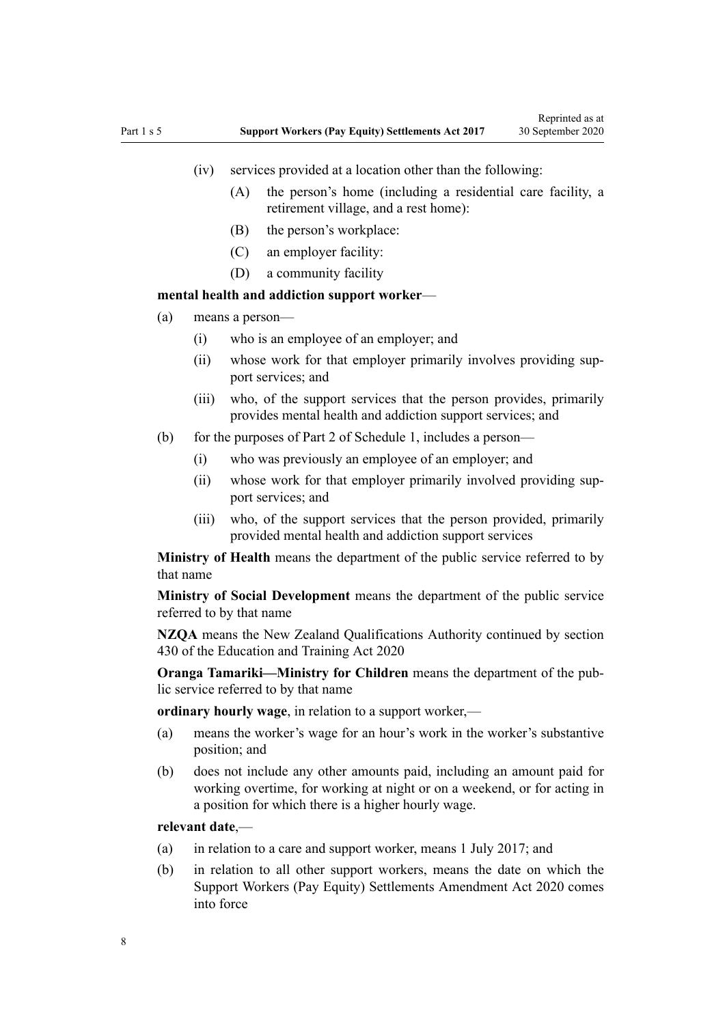- (iv) services provided at a location other than the following:
	- (A) the person's home (including a residential care facility, a retirement village, and a rest home):
	- (B) the person's workplace:
	- (C) an employer facility:
	- (D) a community facility

#### **mental health and addiction support worker**—

- (a) means a person—
	- (i) who is an employee of an employer; and
	- (ii) whose work for that employer primarily involves providing support services; and
	- (iii) who, of the support services that the person provides, primarily provides mental health and addiction support services; and
- (b) for the purposes of [Part 2](#page-18-0) of Schedule 1, includes a person—
	- (i) who was previously an employee of an employer; and
	- (ii) whose work for that employer primarily involved providing support services; and
	- (iii) who, of the support services that the person provided, primarily provided mental health and addiction support services

**Ministry of Health** means the department of the public service referred to by that name

**Ministry of Social Development** means the department of the public service referred to by that name

**NZQA** means the New Zealand Qualifications Authority continued by [section](http://legislation.govt.nz/pdflink.aspx?id=LMS172320) [430](http://legislation.govt.nz/pdflink.aspx?id=LMS172320) of the Education and Training Act 2020

**Oranga Tamariki—Ministry for Children** means the department of the public service referred to by that name

**ordinary hourly wage**, in relation to a support worker,—

- (a) means the worker's wage for an hour's work in the worker's substantive position; and
- (b) does not include any other amounts paid, including an amount paid for working overtime, for working at night or on a weekend, or for acting in a position for which there is a higher hourly wage.

#### **relevant date**,—

- (a) in relation to a care and support worker, means 1 July 2017; and
- (b) in relation to all other support workers, means the date on which the [Support Workers \(Pay Equity\) Settlements Amendment Act 2020](http://legislation.govt.nz/pdflink.aspx?id=LMS178735) comes into force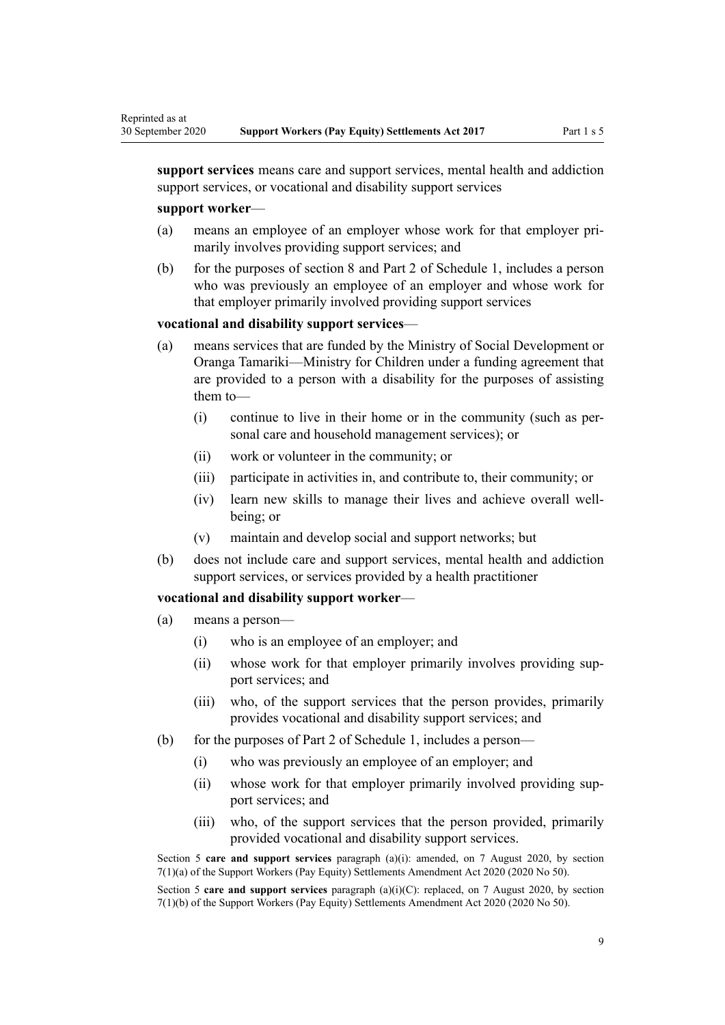**support services** means care and support services, mental health and addiction support services, or vocational and disability support services

#### **support worker**—

Reprinted as at

- (a) means an employee of an employer whose work for that employer primarily involves providing support services; and
- (b) for the purposes of [section 8](#page-10-0) and [Part 2](#page-18-0) of Schedule 1, includes a person who was previously an employee of an employer and whose work for that employer primarily involved providing support services

#### **vocational and disability support services**—

- (a) means services that are funded by the Ministry of Social Development or Oranga Tamariki—Ministry for Children under a funding agreement that are provided to a person with a disability for the purposes of assisting them to—
	- (i) continue to live in their home or in the community (such as personal care and household management services); or
	- (ii) work or volunteer in the community; or
	- (iii) participate in activities in, and contribute to, their community; or
	- (iv) learn new skills to manage their lives and achieve overall wellbeing; or
	- (v) maintain and develop social and support networks; but
- (b) does not include care and support services, mental health and addiction support services, or services provided by a health practitioner

#### **vocational and disability support worker**—

- (a) means a person—
	- (i) who is an employee of an employer; and
	- (ii) whose work for that employer primarily involves providing support services; and
	- (iii) who, of the support services that the person provides, primarily provides vocational and disability support services; and
- (b) for the purposes of [Part 2](#page-18-0) of Schedule 1, includes a person—
	- (i) who was previously an employee of an employer; and
	- (ii) whose work for that employer primarily involved providing support services; and
	- (iii) who, of the support services that the person provided, primarily provided vocational and disability support services.

Section 5 **care and support services** paragraph (a)(i): amended, on 7 August 2020, by [section](http://legislation.govt.nz/pdflink.aspx?id=LMS178705) [7\(1\)\(a\)](http://legislation.govt.nz/pdflink.aspx?id=LMS178705) of the Support Workers (Pay Equity) Settlements Amendment Act 2020 (2020 No 50).

Section 5 **care and support services** paragraph (a)(i)(C): replaced, on 7 August 2020, by [section](http://legislation.govt.nz/pdflink.aspx?id=LMS178705) [7\(1\)\(b\)](http://legislation.govt.nz/pdflink.aspx?id=LMS178705) of the Support Workers (Pay Equity) Settlements Amendment Act 2020 (2020 No 50).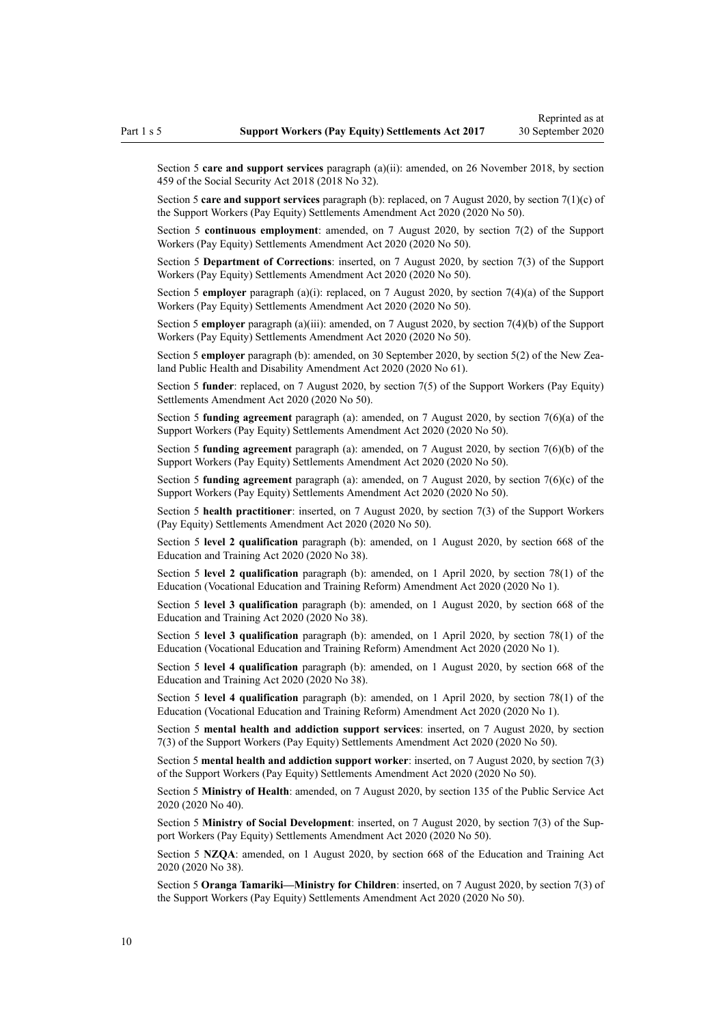Section 5 **care and support services** paragraph (a)(ii): amended, on 26 November 2018, by [section](http://legislation.govt.nz/pdflink.aspx?id=DLM6784038) [459](http://legislation.govt.nz/pdflink.aspx?id=DLM6784038) of the Social Security Act 2018 (2018 No 32).

Section 5 **care and support services** paragraph (b): replaced, on 7 August 2020, by [section 7\(1\)\(c\)](http://legislation.govt.nz/pdflink.aspx?id=LMS178705) of the Support Workers (Pay Equity) Settlements Amendment Act 2020 (2020 No 50).

Section 5 **continuous employment**: amended, on 7 August 2020, by [section 7\(2\)](http://legislation.govt.nz/pdflink.aspx?id=LMS178705) of the Support Workers (Pay Equity) Settlements Amendment Act 2020 (2020 No 50).

Section 5 **Department of Corrections**: inserted, on 7 August 2020, by [section 7\(3\)](http://legislation.govt.nz/pdflink.aspx?id=LMS178705) of the Support Workers (Pay Equity) Settlements Amendment Act 2020 (2020 No 50).

Section 5 **employer** paragraph (a)(i): replaced, on 7 August 2020, by [section 7\(4\)\(a\)](http://legislation.govt.nz/pdflink.aspx?id=LMS178705) of the Support Workers (Pay Equity) Settlements Amendment Act 2020 (2020 No 50).

Section 5 **employer** paragraph (a)(iii): amended, on 7 August 2020, by [section 7\(4\)\(b\)](http://legislation.govt.nz/pdflink.aspx?id=LMS178705) of the Support Workers (Pay Equity) Settlements Amendment Act 2020 (2020 No 50).

Section 5 **employer** paragraph (b): amended, on 30 September 2020, by [section 5\(2\)](http://legislation.govt.nz/pdflink.aspx?id=LMS298007) of the New Zealand Public Health and Disability Amendment Act 2020 (2020 No 61).

Section 5 **funder**: replaced, on 7 August 2020, by [section 7\(5\)](http://legislation.govt.nz/pdflink.aspx?id=LMS178705) of the Support Workers (Pay Equity) Settlements Amendment Act 2020 (2020 No 50).

Section 5 **funding agreement** paragraph (a): amended, on 7 August 2020, by [section 7\(6\)\(a\)](http://legislation.govt.nz/pdflink.aspx?id=LMS178705) of the Support Workers (Pay Equity) Settlements Amendment Act 2020 (2020 No 50).

Section 5 **funding agreement** paragraph (a): amended, on 7 August 2020, by [section 7\(6\)\(b\)](http://legislation.govt.nz/pdflink.aspx?id=LMS178705) of the Support Workers (Pay Equity) Settlements Amendment Act 2020 (2020 No 50).

Section 5 **funding agreement** paragraph (a): amended, on 7 August 2020, by [section 7\(6\)\(c\)](http://legislation.govt.nz/pdflink.aspx?id=LMS178705) of the Support Workers (Pay Equity) Settlements Amendment Act 2020 (2020 No 50).

Section 5 **health practitioner**: inserted, on 7 August 2020, by [section 7\(3\)](http://legislation.govt.nz/pdflink.aspx?id=LMS178705) of the Support Workers (Pay Equity) Settlements Amendment Act 2020 (2020 No 50).

Section 5 **level 2 qualification** paragraph (b): amended, on 1 August 2020, by [section 668](http://legislation.govt.nz/pdflink.aspx?id=LMS367713) of the Education and Training Act 2020 (2020 No 38).

Section 5 **level 2 qualification** paragraph (b): amended, on 1 April 2020, by [section 78\(1\)](http://legislation.govt.nz/pdflink.aspx?id=LMS245981) of the Education (Vocational Education and Training Reform) Amendment Act 2020 (2020 No 1).

Section 5 **level 3 qualification** paragraph (b): amended, on 1 August 2020, by [section 668](http://legislation.govt.nz/pdflink.aspx?id=LMS367713) of the Education and Training Act 2020 (2020 No 38).

Section 5 **level 3 qualification** paragraph (b): amended, on 1 April 2020, by [section 78\(1\)](http://legislation.govt.nz/pdflink.aspx?id=LMS245981) of the Education (Vocational Education and Training Reform) Amendment Act 2020 (2020 No 1).

Section 5 **level 4 qualification** paragraph (b): amended, on 1 August 2020, by [section 668](http://legislation.govt.nz/pdflink.aspx?id=LMS367713) of the Education and Training Act 2020 (2020 No 38).

Section 5 **level 4 qualification** paragraph (b): amended, on 1 April 2020, by [section 78\(1\)](http://legislation.govt.nz/pdflink.aspx?id=LMS245981) of the Education (Vocational Education and Training Reform) Amendment Act 2020 (2020 No 1).

Section 5 **mental health and addiction support services**: inserted, on 7 August 2020, by [section](http://legislation.govt.nz/pdflink.aspx?id=LMS178705) [7\(3\)](http://legislation.govt.nz/pdflink.aspx?id=LMS178705) of the Support Workers (Pay Equity) Settlements Amendment Act 2020 (2020 No 50).

Section 5 **mental health and addiction support worker**: inserted, on 7 August 2020, by [section 7\(3\)](http://legislation.govt.nz/pdflink.aspx?id=LMS178705) of the Support Workers (Pay Equity) Settlements Amendment Act 2020 (2020 No 50).

Section 5 **Ministry of Health**: amended, on 7 August 2020, by [section 135](http://legislation.govt.nz/pdflink.aspx?id=LMS176959) of the Public Service Act 2020 (2020 No 40).

Section 5 **Ministry of Social Development**: inserted, on 7 August 2020, by [section 7\(3\)](http://legislation.govt.nz/pdflink.aspx?id=LMS178705) of the Support Workers (Pay Equity) Settlements Amendment Act 2020 (2020 No 50).

Section 5 **NZQA**: amended, on 1 August 2020, by [section 668](http://legislation.govt.nz/pdflink.aspx?id=LMS367713) of the Education and Training Act 2020 (2020 No 38).

Section 5 **Oranga Tamariki—Ministry for Children**: inserted, on 7 August 2020, by [section 7\(3\)](http://legislation.govt.nz/pdflink.aspx?id=LMS178705) of the Support Workers (Pay Equity) Settlements Amendment Act 2020 (2020 No 50).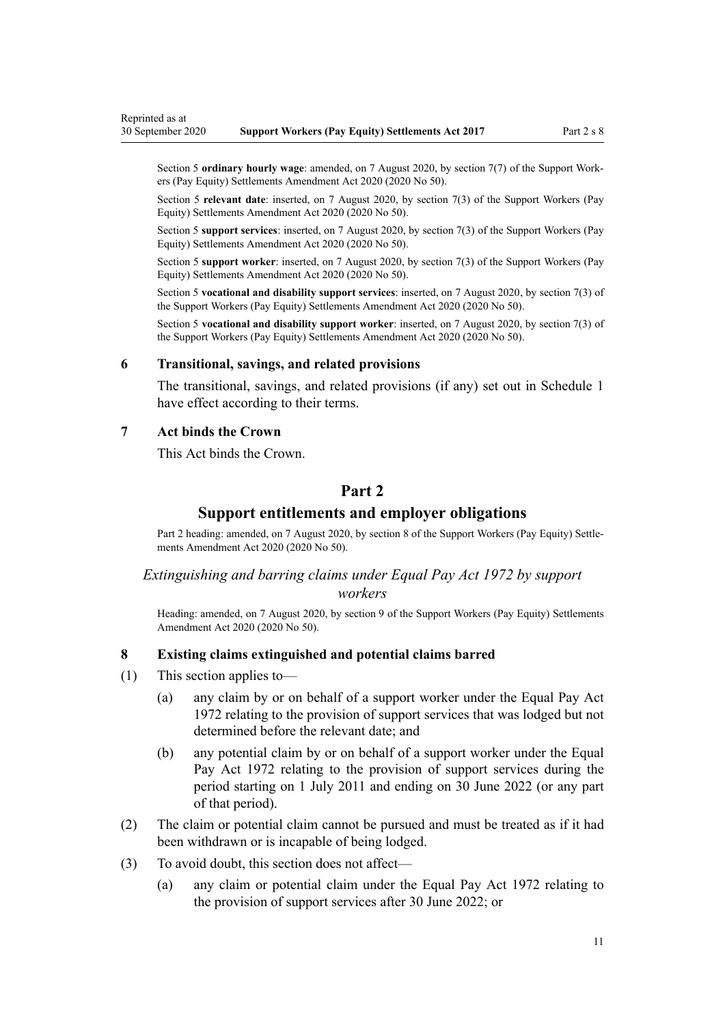<span id="page-10-0"></span>Section 5 **ordinary hourly wage**: amended, on 7 August 2020, by [section 7\(7\)](http://legislation.govt.nz/pdflink.aspx?id=LMS178705) of the Support Workers (Pay Equity) Settlements Amendment Act 2020 (2020 No 50).

Section 5 **relevant date**: inserted, on 7 August 2020, by [section 7\(3\)](http://legislation.govt.nz/pdflink.aspx?id=LMS178705) of the Support Workers (Pay Equity) Settlements Amendment Act 2020 (2020 No 50).

Section 5 **support services**: inserted, on 7 August 2020, by [section 7\(3\)](http://legislation.govt.nz/pdflink.aspx?id=LMS178705) of the Support Workers (Pay Equity) Settlements Amendment Act 2020 (2020 No 50).

Section 5 **support worker**: inserted, on 7 August 2020, by [section 7\(3\)](http://legislation.govt.nz/pdflink.aspx?id=LMS178705) of the Support Workers (Pay Equity) Settlements Amendment Act 2020 (2020 No 50).

Section 5 **vocational and disability support services**: inserted, on 7 August 2020, by [section 7\(3\)](http://legislation.govt.nz/pdflink.aspx?id=LMS178705) of the Support Workers (Pay Equity) Settlements Amendment Act 2020 (2020 No 50).

Section 5 **vocational and disability support worker**: inserted, on 7 August 2020, by [section 7\(3\)](http://legislation.govt.nz/pdflink.aspx?id=LMS178705) of the Support Workers (Pay Equity) Settlements Amendment Act 2020 (2020 No 50).

#### **6 Transitional, savings, and related provisions**

The transitional, savings, and related provisions (if any) set out in [Schedule 1](#page-18-0) have effect according to their terms.

#### **7 Act binds the Crown**

This Act binds the Crown.

## **Part 2**

### **Support entitlements and employer obligations**

Part 2 heading: amended, on 7 August 2020, by [section 8](http://legislation.govt.nz/pdflink.aspx?id=LMS178706) of the Support Workers (Pay Equity) Settlements Amendment Act 2020 (2020 No 50).

## *Extinguishing and barring claims under Equal Pay Act 1972 by support*

## *workers*

Heading: amended, on 7 August 2020, by [section 9](http://legislation.govt.nz/pdflink.aspx?id=LMS178707) of the Support Workers (Pay Equity) Settlements Amendment Act 2020 (2020 No 50).

#### **8 Existing claims extinguished and potential claims barred**

- (1) This section applies to—
	- (a) any claim by or on behalf of a support worker under the [Equal Pay Act](http://legislation.govt.nz/pdflink.aspx?id=DLM407769) [1972](http://legislation.govt.nz/pdflink.aspx?id=DLM407769) relating to the provision of support services that was lodged but not determined before the relevant date; and
	- (b) any potential claim by or on behalf of a support worker under the [Equal](http://legislation.govt.nz/pdflink.aspx?id=DLM407769) [Pay Act 1972](http://legislation.govt.nz/pdflink.aspx?id=DLM407769) relating to the provision of support services during the period starting on 1 July 2011 and ending on 30 June 2022 (or any part of that period).
- (2) The claim or potential claim cannot be pursued and must be treated as if it had been withdrawn or is incapable of being lodged.
- (3) To avoid doubt, this section does not affect—
	- (a) any claim or potential claim under the [Equal Pay Act 1972](http://legislation.govt.nz/pdflink.aspx?id=DLM407769) relating to the provision of support services after 30 June 2022; or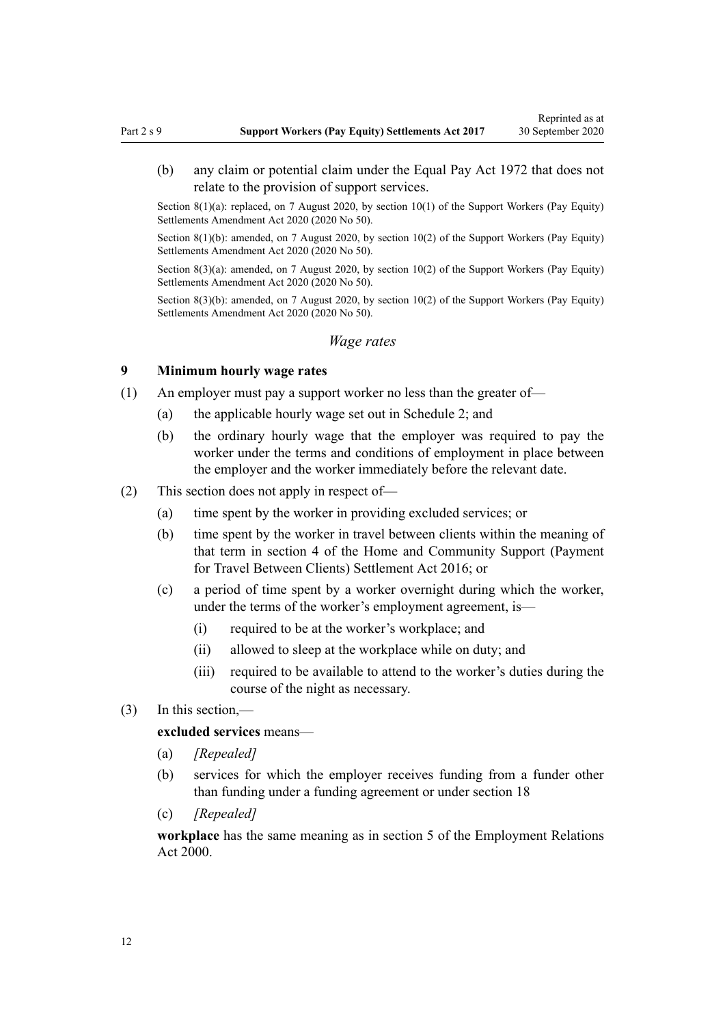Reprinted as at

<span id="page-11-0"></span>(b) any claim or potential claim under the [Equal Pay Act 1972](http://legislation.govt.nz/pdflink.aspx?id=DLM407769) that does not relate to the provision of support services.

Section 8(1)(a): replaced, on 7 August 2020, by [section 10\(1\)](http://legislation.govt.nz/pdflink.aspx?id=LMS178708) of the Support Workers (Pay Equity) Settlements Amendment Act 2020 (2020 No 50).

Section 8(1)(b): amended, on 7 August 2020, by [section 10\(2\)](http://legislation.govt.nz/pdflink.aspx?id=LMS178708) of the Support Workers (Pay Equity) Settlements Amendment Act 2020 (2020 No 50).

Section 8(3)(a): amended, on 7 August 2020, by [section 10\(2\)](http://legislation.govt.nz/pdflink.aspx?id=LMS178708) of the Support Workers (Pay Equity) Settlements Amendment Act 2020 (2020 No 50).

Section 8(3)(b): amended, on 7 August 2020, by [section 10\(2\)](http://legislation.govt.nz/pdflink.aspx?id=LMS178708) of the Support Workers (Pay Equity) Settlements Amendment Act 2020 (2020 No 50).

#### *Wage rates*

#### **9 Minimum hourly wage rates**

- (1) An employer must pay a support worker no less than the greater of—
	- (a) the applicable hourly wage set out in [Schedule 2](#page-21-0); and
	- (b) the ordinary hourly wage that the employer was required to pay the worker under the terms and conditions of employment in place between the employer and the worker immediately before the relevant date.
- (2) This section does not apply in respect of—
	- (a) time spent by the worker in providing excluded services; or
	- (b) time spent by the worker in travel between clients within the meaning of that term in [section 4](http://legislation.govt.nz/pdflink.aspx?id=DLM6600918) of the Home and Community Support (Payment for Travel Between Clients) Settlement Act 2016; or
	- (c) a period of time spent by a worker overnight during which the worker, under the terms of the worker's employment agreement, is—
		- (i) required to be at the worker's workplace; and
		- (ii) allowed to sleep at the workplace while on duty; and
		- (iii) required to be available to attend to the worker's duties during the course of the night as necessary.
- (3) In this section,—

#### **excluded services** means—

- (a) *[Repealed]*
- (b) services for which the employer receives funding from a funder other than funding under a funding agreement or under [section 18](#page-15-0)
- (c) *[Repealed]*

**workplace** has the same meaning as in [section 5](http://legislation.govt.nz/pdflink.aspx?id=DLM58337) of the Employment Relations Act 2000.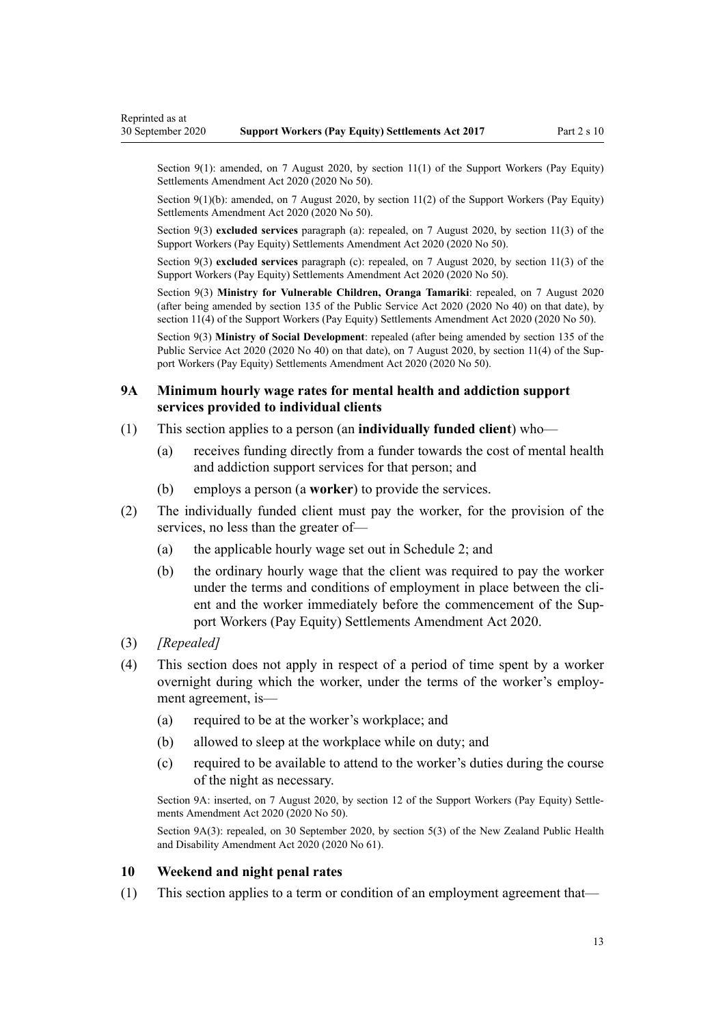<span id="page-12-0"></span>Section 9(1): amended, on 7 August 2020, by [section 11\(1\)](http://legislation.govt.nz/pdflink.aspx?id=LMS178712) of the Support Workers (Pay Equity) Settlements Amendment Act 2020 (2020 No 50).

Section 9(1)(b): amended, on 7 August 2020, by [section 11\(2\)](http://legislation.govt.nz/pdflink.aspx?id=LMS178712) of the Support Workers (Pay Equity) Settlements Amendment Act 2020 (2020 No 50).

Section 9(3) **excluded services** paragraph (a): repealed, on 7 August 2020, by [section 11\(3\)](http://legislation.govt.nz/pdflink.aspx?id=LMS178712) of the Support Workers (Pay Equity) Settlements Amendment Act 2020 (2020 No 50).

Section 9(3) **excluded services** paragraph (c): repealed, on 7 August 2020, by [section 11\(3\)](http://legislation.govt.nz/pdflink.aspx?id=LMS178712) of the Support Workers (Pay Equity) Settlements Amendment Act 2020 (2020 No 50).

Section 9(3) **Ministry for Vulnerable Children, Oranga Tamariki**: repealed, on 7 August 2020 (after being amended by [section 135](http://legislation.govt.nz/pdflink.aspx?id=LMS176959) of the Public Service Act 2020 (2020 No 40) on that date), by [section 11\(4\)](http://legislation.govt.nz/pdflink.aspx?id=LMS178712) of the Support Workers (Pay Equity) Settlements Amendment Act 2020 (2020 No 50).

Section 9(3) **Ministry of Social Development**: repealed (after being amended by [section 135](http://legislation.govt.nz/pdflink.aspx?id=LMS176959) of the Public Service Act 2020 (2020 No 40) on that date), on 7 August 2020, by [section 11\(4\)](http://legislation.govt.nz/pdflink.aspx?id=LMS178712) of the Support Workers (Pay Equity) Settlements Amendment Act 2020 (2020 No 50).

#### **9A Minimum hourly wage rates for mental health and addiction support services provided to individual clients**

- (1) This section applies to a person (an **individually funded client**) who—
	- (a) receives funding directly from a funder towards the cost of mental health and addiction support services for that person; and
	- (b) employs a person (a **worker**) to provide the services.
- (2) The individually funded client must pay the worker, for the provision of the services, no less than the greater of—
	- (a) the applicable hourly wage set out in [Schedule 2](#page-21-0); and
	- (b) the ordinary hourly wage that the client was required to pay the worker under the terms and conditions of employment in place between the client and the worker immediately before the commencement of the [Sup](http://legislation.govt.nz/pdflink.aspx?id=LMS178735)[port Workers \(Pay Equity\) Settlements Amendment Act 2020](http://legislation.govt.nz/pdflink.aspx?id=LMS178735).
- (3) *[Repealed]*
- (4) This section does not apply in respect of a period of time spent by a worker overnight during which the worker, under the terms of the worker's employment agreement, is—
	- (a) required to be at the worker's workplace; and
	- (b) allowed to sleep at the workplace while on duty; and
	- (c) required to be available to attend to the worker's duties during the course of the night as necessary.

Section 9A: inserted, on 7 August 2020, by [section 12](http://legislation.govt.nz/pdflink.aspx?id=LMS255704) of the Support Workers (Pay Equity) Settlements Amendment Act 2020 (2020 No 50).

Section 9A(3): repealed, on 30 September 2020, by [section 5\(3\)](http://legislation.govt.nz/pdflink.aspx?id=LMS298007) of the New Zealand Public Health and Disability Amendment Act 2020 (2020 No 61).

## **10 Weekend and night penal rates**

(1) This section applies to a term or condition of an employment agreement that—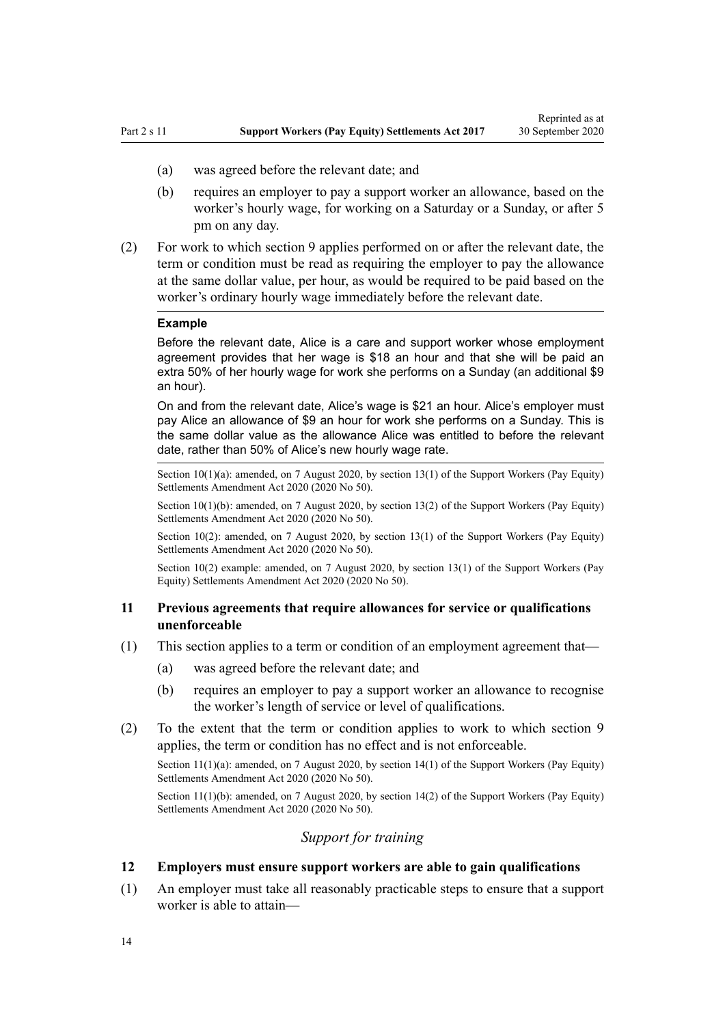- <span id="page-13-0"></span>(a) was agreed before the relevant date; and
- (b) requires an employer to pay a support worker an allowance, based on the worker's hourly wage, for working on a Saturday or a Sunday, or after 5 pm on any day.
- (2) For work to which [section 9](#page-11-0) applies performed on or after the relevant date, the term or condition must be read as requiring the employer to pay the allowance at the same dollar value, per hour, as would be required to be paid based on the worker's ordinary hourly wage immediately before the relevant date.

#### **Example**

Before the relevant date, Alice is a care and support worker whose employment agreement provides that her wage is \$18 an hour and that she will be paid an extra 50% of her hourly wage for work she performs on a Sunday (an additional \$9 an hour).

On and from the relevant date, Alice's wage is \$21 an hour. Alice's employer must pay Alice an allowance of \$9 an hour for work she performs on a Sunday. This is the same dollar value as the allowance Alice was entitled to before the relevant date, rather than 50% of Alice's new hourly wage rate.

Section  $10(1)(a)$ : amended, on 7 August 2020, by [section 13\(1\)](http://legislation.govt.nz/pdflink.aspx?id=LMS178713) of the Support Workers (Pay Equity) Settlements Amendment Act 2020 (2020 No 50).

Section 10(1)(b): amended, on 7 August 2020, by [section 13\(2\)](http://legislation.govt.nz/pdflink.aspx?id=LMS178713) of the Support Workers (Pay Equity) Settlements Amendment Act 2020 (2020 No 50).

Section 10(2): amended, on 7 August 2020, by [section 13\(1\)](http://legislation.govt.nz/pdflink.aspx?id=LMS178713) of the Support Workers (Pay Equity) Settlements Amendment Act 2020 (2020 No 50).

Section 10(2) example: amended, on 7 August 2020, by [section 13\(1\)](http://legislation.govt.nz/pdflink.aspx?id=LMS178713) of the Support Workers (Pay Equity) Settlements Amendment Act 2020 (2020 No 50).

### **11 Previous agreements that require allowances for service or qualifications unenforceable**

- (1) This section applies to a term or condition of an employment agreement that—
	- (a) was agreed before the relevant date; and
	- (b) requires an employer to pay a support worker an allowance to recognise the worker's length of service or level of qualifications.
- (2) To the extent that the term or condition applies to work to which [section 9](#page-11-0) applies, the term or condition has no effect and is not enforceable.

Section 11(1)(a): amended, on 7 August 2020, by [section 14\(1\)](http://legislation.govt.nz/pdflink.aspx?id=LMS178714) of the Support Workers (Pay Equity) Settlements Amendment Act 2020 (2020 No 50).

Section 11(1)(b): amended, on 7 August 2020, by [section 14\(2\)](http://legislation.govt.nz/pdflink.aspx?id=LMS178714) of the Support Workers (Pay Equity) Settlements Amendment Act 2020 (2020 No 50).

### *Support for training*

#### **12 Employers must ensure support workers are able to gain qualifications**

(1) An employer must take all reasonably practicable steps to ensure that a support worker is able to attain—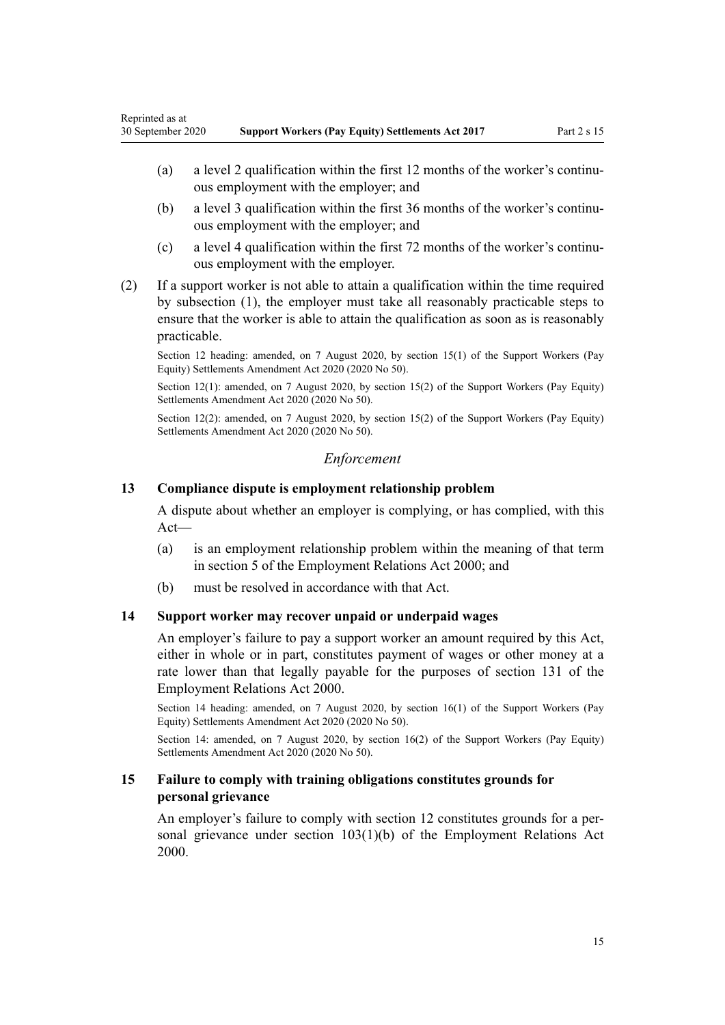- <span id="page-14-0"></span>(a) a level 2 qualification within the first 12 months of the worker's continuous employment with the employer; and
- (b) a level 3 qualification within the first 36 months of the worker's continuous employment with the employer; and
- (c) a level 4 qualification within the first 72 months of the worker's continuous employment with the employer.
- (2) If a support worker is not able to attain a qualification within the time required by subsection (1), the employer must take all reasonably practicable steps to ensure that the worker is able to attain the qualification as soon as is reasonably practicable.

Section 12 heading: amended, on 7 August 2020, by [section 15\(1\)](http://legislation.govt.nz/pdflink.aspx?id=LMS178715) of the Support Workers (Pay Equity) Settlements Amendment Act 2020 (2020 No 50).

Section 12(1): amended, on 7 August 2020, by [section 15\(2\)](http://legislation.govt.nz/pdflink.aspx?id=LMS178715) of the Support Workers (Pay Equity) Settlements Amendment Act 2020 (2020 No 50).

Section 12(2): amended, on 7 August 2020, by [section 15\(2\)](http://legislation.govt.nz/pdflink.aspx?id=LMS178715) of the Support Workers (Pay Equity) Settlements Amendment Act 2020 (2020 No 50).

## *Enforcement*

#### **13 Compliance dispute is employment relationship problem**

A dispute about whether an employer is complying, or has complied, with this Act—

- (a) is an employment relationship problem within the meaning of that term in [section 5](http://legislation.govt.nz/pdflink.aspx?id=DLM58337) of the Employment Relations Act 2000; and
- (b) must be resolved in accordance with that Act.

#### **14 Support worker may recover unpaid or underpaid wages**

An employer's failure to pay a support worker an amount required by this Act, either in whole or in part, constitutes payment of wages or other money at a rate lower than that legally payable for the purposes of [section 131](http://legislation.govt.nz/pdflink.aspx?id=DLM60376) of the Employment Relations Act 2000.

Section 14 heading: amended, on 7 August 2020, by [section 16\(1\)](http://legislation.govt.nz/pdflink.aspx?id=LMS178716) of the Support Workers (Pay Equity) Settlements Amendment Act 2020 (2020 No 50).

Section 14: amended, on 7 August 2020, by [section 16\(2\)](http://legislation.govt.nz/pdflink.aspx?id=LMS178716) of the Support Workers (Pay Equity) Settlements Amendment Act 2020 (2020 No 50).

## **15 Failure to comply with training obligations constitutes grounds for personal grievance**

An employer's failure to comply with [section 12](#page-13-0) constitutes grounds for a personal grievance under [section 103\(1\)\(b\)](http://legislation.govt.nz/pdflink.aspx?id=DLM60322) of the Employment Relations Act 2000.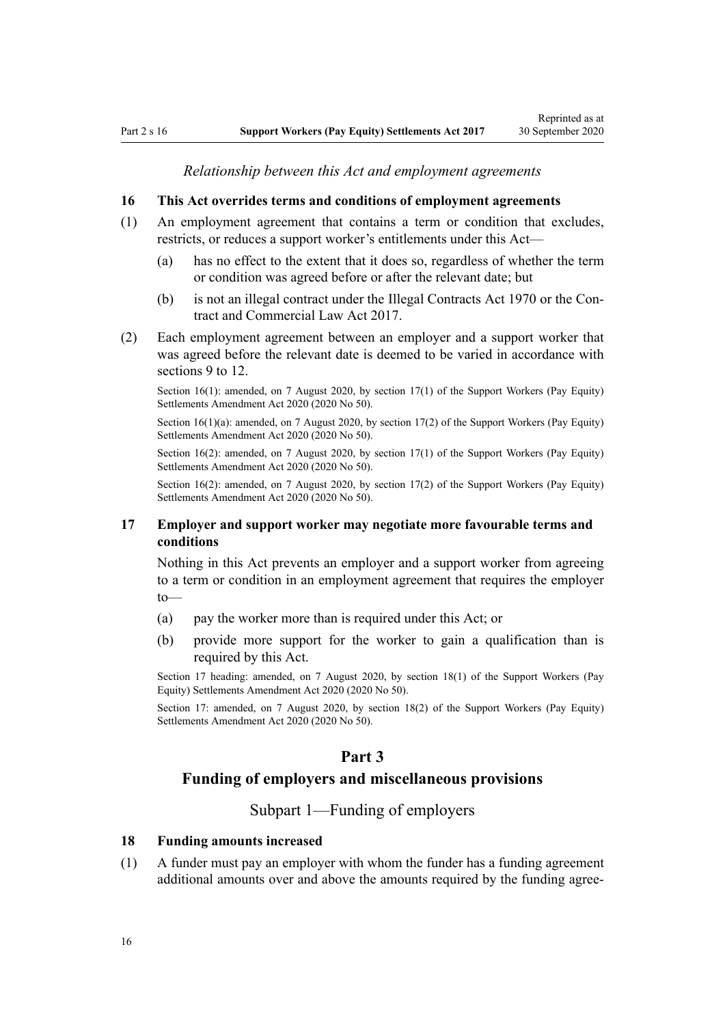*Relationship between this Act and employment agreements*

#### <span id="page-15-0"></span>**16 This Act overrides terms and conditions of employment agreements**

- (1) An employment agreement that contains a term or condition that excludes, restricts, or reduces a support worker's entitlements under this Act—
	- (a) has no effect to the extent that it does so, regardless of whether the term or condition was agreed before or after the relevant date; but
	- (b) is not an illegal contract under the [Illegal Contracts Act 1970](http://legislation.govt.nz/pdflink.aspx?id=DLM396434) or the [Con](http://legislation.govt.nz/pdflink.aspx?id=DLM6844000)[tract and Commercial Law Act 2017.](http://legislation.govt.nz/pdflink.aspx?id=DLM6844000)
- (2) Each employment agreement between an employer and a support worker that was agreed before the relevant date is deemed to be varied in accordance with [sections 9 to 12](#page-11-0).

Section 16(1): amended, on 7 August 2020, by [section 17\(1\)](http://legislation.govt.nz/pdflink.aspx?id=LMS178717) of the Support Workers (Pay Equity) Settlements Amendment Act 2020 (2020 No 50).

Section 16(1)(a): amended, on 7 August 2020, by [section 17\(2\)](http://legislation.govt.nz/pdflink.aspx?id=LMS178717) of the Support Workers (Pay Equity) Settlements Amendment Act 2020 (2020 No 50).

Section 16(2): amended, on 7 August 2020, by [section 17\(1\)](http://legislation.govt.nz/pdflink.aspx?id=LMS178717) of the Support Workers (Pay Equity) Settlements Amendment Act 2020 (2020 No 50).

Section 16(2): amended, on 7 August 2020, by [section 17\(2\)](http://legislation.govt.nz/pdflink.aspx?id=LMS178717) of the Support Workers (Pay Equity) Settlements Amendment Act 2020 (2020 No 50).

### **17 Employer and support worker may negotiate more favourable terms and conditions**

Nothing in this Act prevents an employer and a support worker from agreeing to a term or condition in an employment agreement that requires the employer to—

- (a) pay the worker more than is required under this Act; or
- (b) provide more support for the worker to gain a qualification than is required by this Act.

Section 17 heading: amended, on 7 August 2020, by [section 18\(1\)](http://legislation.govt.nz/pdflink.aspx?id=LMS178718) of the Support Workers (Pay Equity) Settlements Amendment Act 2020 (2020 No 50).

Section 17: amended, on 7 August 2020, by [section 18\(2\)](http://legislation.govt.nz/pdflink.aspx?id=LMS178718) of the Support Workers (Pay Equity) Settlements Amendment Act 2020 (2020 No 50).

## **Part 3**

## **Funding of employers and miscellaneous provisions**

Subpart 1—Funding of employers

#### **18 Funding amounts increased**

(1) A funder must pay an employer with whom the funder has a funding agreement additional amounts over and above the amounts required by the funding agree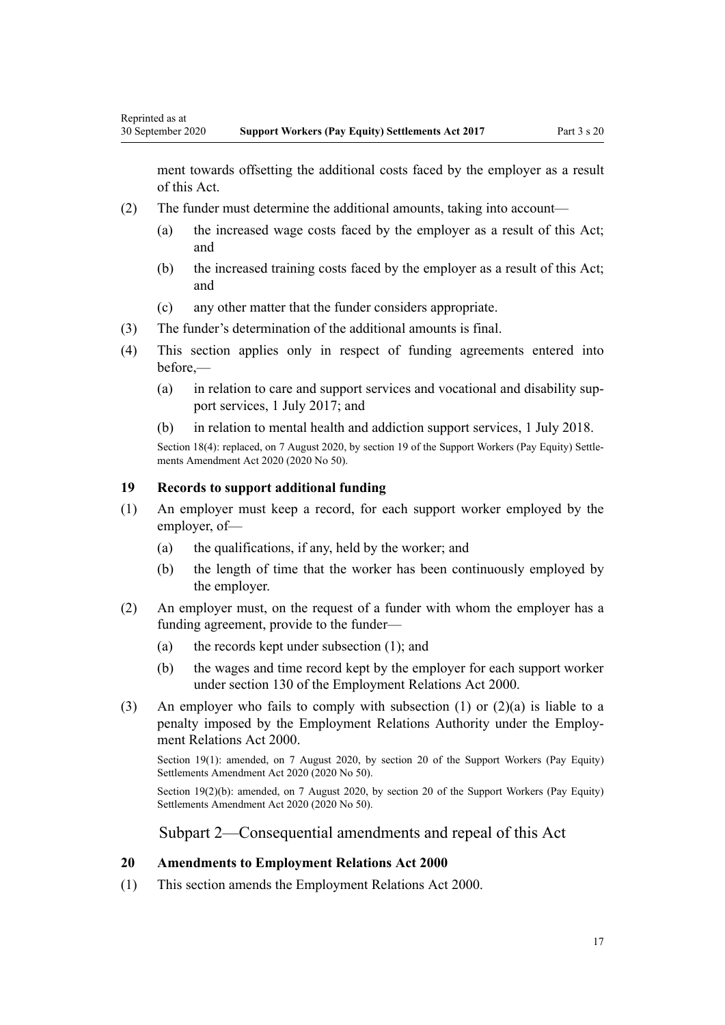<span id="page-16-0"></span>ment towards offsetting the additional costs faced by the employer as a result of this Act.

- (2) The funder must determine the additional amounts, taking into account—
	- (a) the increased wage costs faced by the employer as a result of this Act; and
	- (b) the increased training costs faced by the employer as a result of this Act; and
	- (c) any other matter that the funder considers appropriate.
- (3) The funder's determination of the additional amounts is final.
- (4) This section applies only in respect of funding agreements entered into before,—
	- (a) in relation to care and support services and vocational and disability support services, 1 July 2017; and
	- (b) in relation to mental health and addiction support services, 1 July 2018.

Section 18(4): replaced, on 7 August 2020, by [section 19](http://legislation.govt.nz/pdflink.aspx?id=LMS178719) of the Support Workers (Pay Equity) Settlements Amendment Act 2020 (2020 No 50).

### **19 Records to support additional funding**

- (1) An employer must keep a record, for each support worker employed by the employer, of—
	- (a) the qualifications, if any, held by the worker; and
	- (b) the length of time that the worker has been continuously employed by the employer.
- (2) An employer must, on the request of a funder with whom the employer has a funding agreement, provide to the funder—
	- (a) the records kept under subsection (1); and
	- (b) the wages and time record kept by the employer for each support worker under [section 130](http://legislation.govt.nz/pdflink.aspx?id=DLM60375) of the Employment Relations Act 2000.
- (3) An employer who fails to comply with subsection  $(1)$  or  $(2)(a)$  is liable to a penalty imposed by the Employment Relations Authority under the [Employ](http://legislation.govt.nz/pdflink.aspx?id=DLM58316)[ment Relations Act 2000.](http://legislation.govt.nz/pdflink.aspx?id=DLM58316)

Section 19(1): amended, on 7 August 2020, by [section 20](http://legislation.govt.nz/pdflink.aspx?id=LMS178720) of the Support Workers (Pay Equity) Settlements Amendment Act 2020 (2020 No 50).

Section 19(2)(b): amended, on 7 August 2020, by [section 20](http://legislation.govt.nz/pdflink.aspx?id=LMS178720) of the Support Workers (Pay Equity) Settlements Amendment Act 2020 (2020 No 50).

Subpart 2—Consequential amendments and repeal of this Act

#### **20 Amendments to Employment Relations Act 2000**

(1) This section amends the [Employment Relations Act 2000.](http://legislation.govt.nz/pdflink.aspx?id=DLM58316)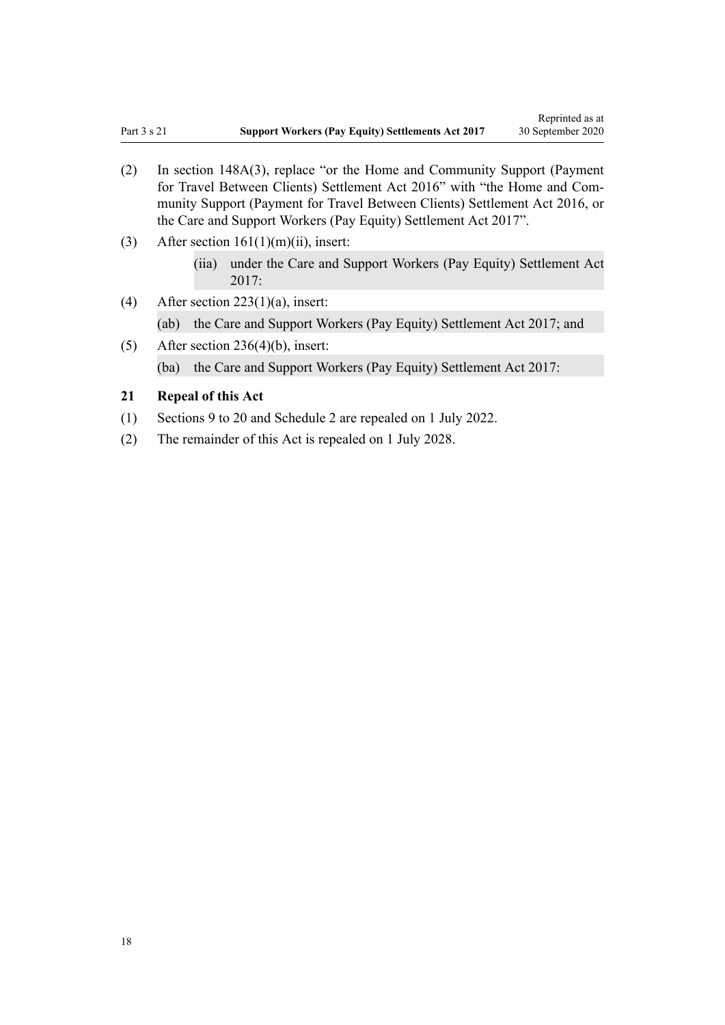- <span id="page-17-0"></span>(2) In [section 148A\(3\)](http://legislation.govt.nz/pdflink.aspx?id=DLM3640697), replace "or the Home and Community Support (Payment for Travel Between Clients) Settlement Act 2016" with "the Home and Community Support (Payment for Travel Between Clients) Settlement Act 2016, or the Care and Support Workers (Pay Equity) Settlement Act 2017".
- (3) After section  $161(1)(m)(ii)$ , insert:
	- (iia) under the Care and Support Workers (Pay Equity) Settlement Act 2017:
- (4) After section  $223(1)(a)$ , insert:
	- (ab) the Care and Support Workers (Pay Equity) Settlement Act 2017; and
- (5) After [section 236\(4\)\(b\),](http://legislation.govt.nz/pdflink.aspx?id=DLM61477) insert: (ba) the Care and Support Workers (Pay Equity) Settlement Act 2017:

## **21 Repeal of this Act**

- (1) [Sections 9 to 20](#page-11-0) and [Schedule 2](#page-21-0) are repealed on 1 July 2022.
- (2) The remainder of this Act is repealed on 1 July 2028.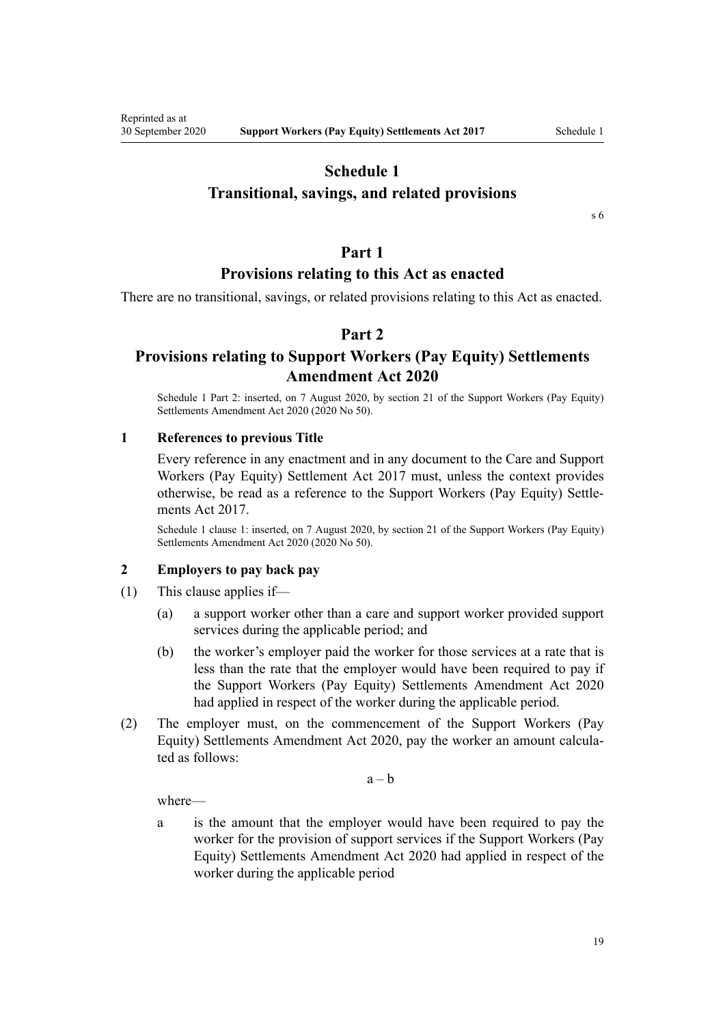## **Schedule 1**

## <span id="page-18-0"></span>**Transitional, savings, and related provisions**

[s 6](#page-10-0)

## **Part 1**

## **Provisions relating to this Act as enacted**

There are no transitional, savings, or related provisions relating to this Act as enacted.

## **Part 2**

## **Provisions relating to Support Workers (Pay Equity) Settlements Amendment Act 2020**

Schedule 1 Part 2: inserted, on 7 August 2020, by [section 21](http://legislation.govt.nz/pdflink.aspx?id=LMS178721) of the Support Workers (Pay Equity) Settlements Amendment Act 2020 (2020 No 50).

### **1 References to previous Title**

Every reference in any enactment and in any document to the Care and Support Workers (Pay Equity) Settlement Act 2017 must, unless the context provides otherwise, be read as a reference to the Support Workers (Pay Equity) Settlements Act 2017.

Schedule 1 clause 1: inserted, on 7 August 2020, by [section 21](http://legislation.govt.nz/pdflink.aspx?id=LMS178721) of the Support Workers (Pay Equity) Settlements Amendment Act 2020 (2020 No 50).

#### **2 Employers to pay back pay**

- (1) This clause applies if—
	- (a) a support worker other than a care and support worker provided support services during the applicable period; and
	- (b) the worker's employer paid the worker for those services at a rate that is less than the rate that the employer would have been required to pay if the [Support Workers \(Pay Equity\) Settlements Amendment Act 2020](http://legislation.govt.nz/pdflink.aspx?id=LMS178735) had applied in respect of the worker during the applicable period.
- (2) The employer must, on the commencement of the [Support Workers \(Pay](http://legislation.govt.nz/pdflink.aspx?id=LMS178735) [Equity\) Settlements Amendment Act 2020,](http://legislation.govt.nz/pdflink.aspx?id=LMS178735) pay the worker an amount calculated as follows:

 $a - b$ 

where—

a is the amount that the employer would have been required to pay the worker for the provision of support services if the [Support Workers \(Pay](http://legislation.govt.nz/pdflink.aspx?id=LMS178735) [Equity\) Settlements Amendment Act 2020](http://legislation.govt.nz/pdflink.aspx?id=LMS178735) had applied in respect of the worker during the applicable period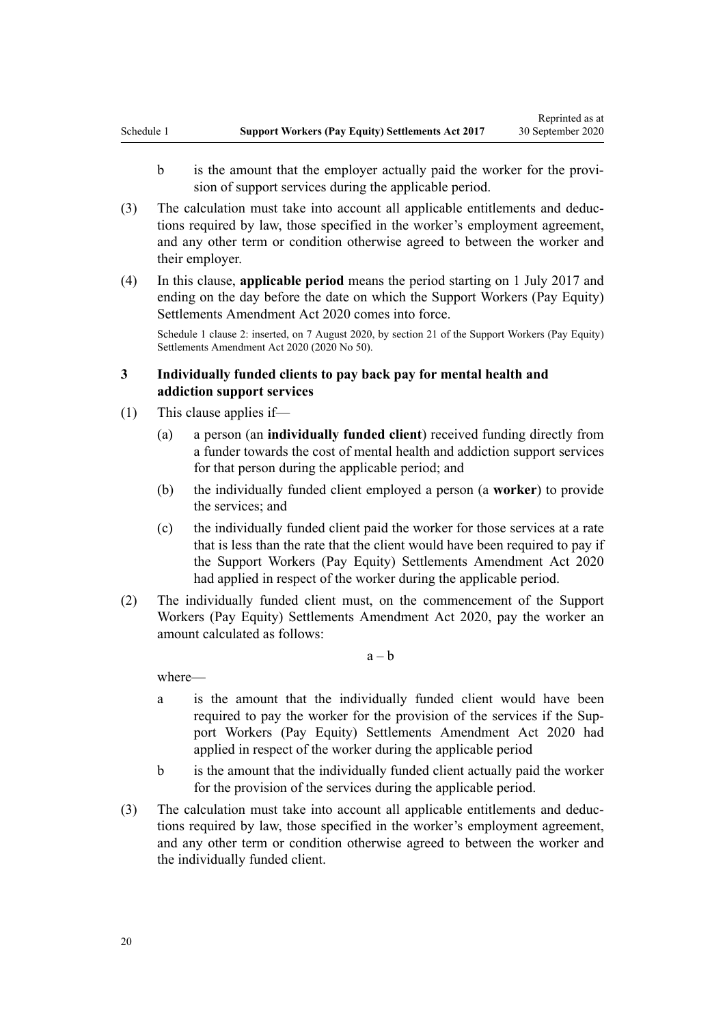- b is the amount that the employer actually paid the worker for the provision of support services during the applicable period.
- (3) The calculation must take into account all applicable entitlements and deductions required by law, those specified in the worker's employment agreement, and any other term or condition otherwise agreed to between the worker and their employer.
- (4) In this clause, **applicable period** means the period starting on 1 July 2017 and ending on the day before the date on which the [Support Workers \(Pay Equity\)](http://legislation.govt.nz/pdflink.aspx?id=LMS178735) [Settlements Amendment Act 2020](http://legislation.govt.nz/pdflink.aspx?id=LMS178735) comes into force.

Schedule 1 clause 2: inserted, on 7 August 2020, by [section 21](http://legislation.govt.nz/pdflink.aspx?id=LMS178721) of the Support Workers (Pay Equity) Settlements Amendment Act 2020 (2020 No 50).

## **3 Individually funded clients to pay back pay for mental health and addiction support services**

- (1) This clause applies if—
	- (a) a person (an **individually funded client**) received funding directly from a funder towards the cost of mental health and addiction support services for that person during the applicable period; and
	- (b) the individually funded client employed a person (a **worker**) to provide the services; and
	- (c) the individually funded client paid the worker for those services at a rate that is less than the rate that the client would have been required to pay if the [Support Workers \(Pay Equity\) Settlements Amendment Act 2020](http://legislation.govt.nz/pdflink.aspx?id=LMS178735) had applied in respect of the worker during the applicable period.
- (2) The individually funded client must, on the commencement of the [Support](http://legislation.govt.nz/pdflink.aspx?id=LMS178735) [Workers \(Pay Equity\) Settlements Amendment Act 2020,](http://legislation.govt.nz/pdflink.aspx?id=LMS178735) pay the worker an amount calculated as follows:

 $a - b$ 

where—

- a is the amount that the individually funded client would have been required to pay the worker for the provision of the services if the [Sup](http://legislation.govt.nz/pdflink.aspx?id=LMS178735)[port Workers \(Pay Equity\) Settlements Amendment Act 2020](http://legislation.govt.nz/pdflink.aspx?id=LMS178735) had applied in respect of the worker during the applicable period
- b is the amount that the individually funded client actually paid the worker for the provision of the services during the applicable period.
- (3) The calculation must take into account all applicable entitlements and deductions required by law, those specified in the worker's employment agreement, and any other term or condition otherwise agreed to between the worker and the individually funded client.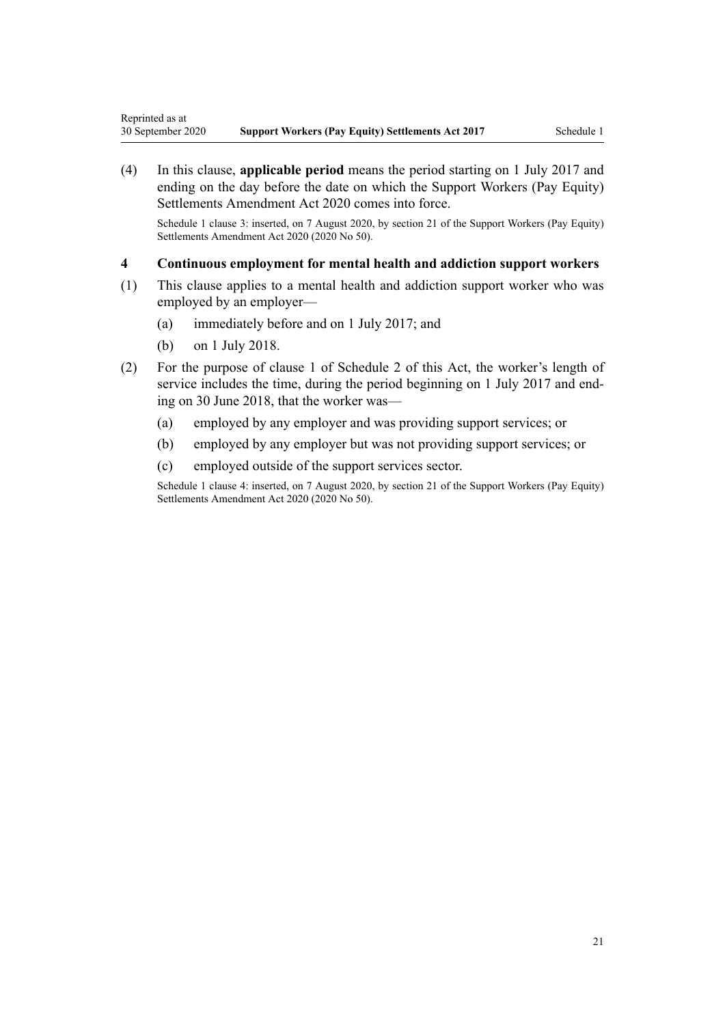(4) In this clause, **applicable period** means the period starting on 1 July 2017 and ending on the day before the date on which the [Support Workers \(Pay Equity\)](http://legislation.govt.nz/pdflink.aspx?id=LMS178735) [Settlements Amendment Act 2020](http://legislation.govt.nz/pdflink.aspx?id=LMS178735) comes into force.

Schedule 1 clause 3: inserted, on 7 August 2020, by [section 21](http://legislation.govt.nz/pdflink.aspx?id=LMS178721) of the Support Workers (Pay Equity) Settlements Amendment Act 2020 (2020 No 50).

### **4 Continuous employment for mental health and addiction support workers**

- (1) This clause applies to a mental health and addiction support worker who was employed by an employer—
	- (a) immediately before and on 1 July 2017; and
	- (b) on 1 July 2018.
- (2) For the purpose of [clause 1](#page-21-0) of Schedule 2 of this Act, the worker's length of service includes the time, during the period beginning on 1 July 2017 and ending on 30 June 2018, that the worker was—
	- (a) employed by any employer and was providing support services; or
	- (b) employed by any employer but was not providing support services; or
	- (c) employed outside of the support services sector.

Schedule 1 clause 4: inserted, on 7 August 2020, by [section 21](http://legislation.govt.nz/pdflink.aspx?id=LMS178721) of the Support Workers (Pay Equity) Settlements Amendment Act 2020 (2020 No 50).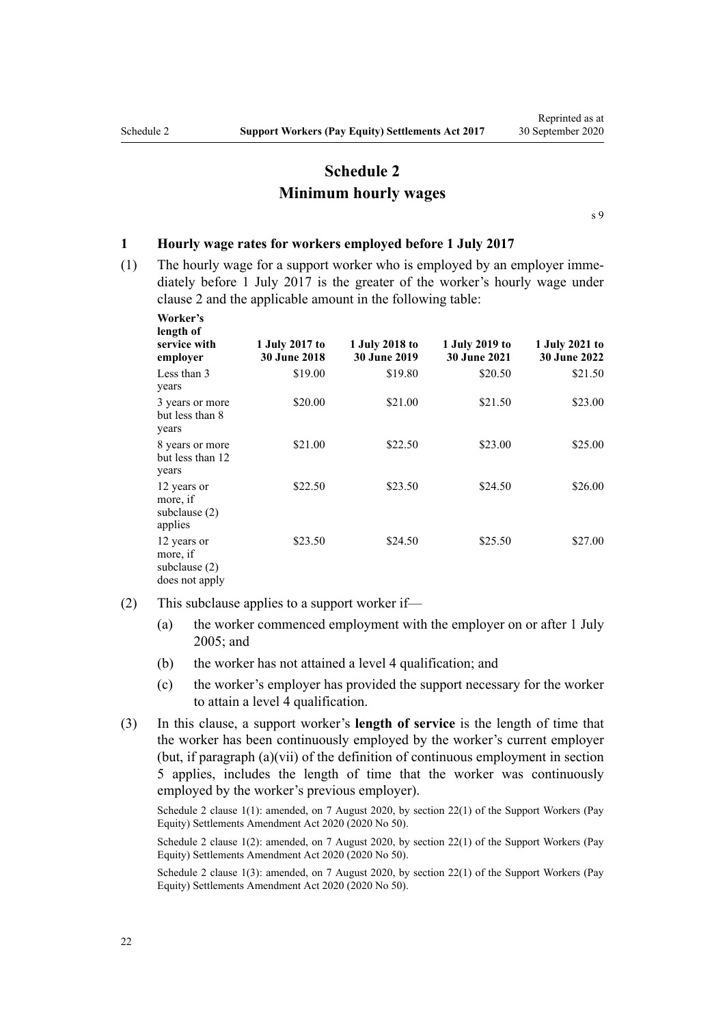## **Schedule 2 Minimum hourly wages**

[s 9](#page-11-0)

#### <span id="page-21-0"></span>**1 Hourly wage rates for workers employed before 1 July 2017**

(1) The hourly wage for a support worker who is employed by an employer immediately before 1 July 2017 is the greater of the worker's hourly wage under [clause 2](#page-22-0) and the applicable amount in the following table:

| Worker's<br>length of<br>service with<br>employer          | 1 July 2017 to<br><b>30 June 2018</b> | 1 July 2018 to<br><b>30 June 2019</b> | 1 July 2019 to<br><b>30 June 2021</b> | 1 July 2021 to<br><b>30 June 2022</b> |
|------------------------------------------------------------|---------------------------------------|---------------------------------------|---------------------------------------|---------------------------------------|
| Less than 3<br>years                                       | \$19.00                               | \$19.80                               | \$20.50                               | \$21.50                               |
| 3 years or more<br>but less than 8<br>years                | \$20.00                               | \$21.00                               | \$21.50                               | \$23.00                               |
| 8 years or more<br>but less than 12<br>years               | \$21.00                               | \$22.50                               | \$23.00                               | \$25.00                               |
| 12 years or<br>more, if<br>subclause $(2)$<br>applies      | \$22.50                               | \$23.50                               | \$24.50                               | \$26.00                               |
| 12 years or<br>more, if<br>subclause (2)<br>does not apply | \$23.50                               | \$24.50                               | \$25.50                               | \$27.00                               |

- (2) This subclause applies to a support worker if—
	- (a) the worker commenced employment with the employer on or after 1 July 2005; and
	- (b) the worker has not attained a level 4 qualification; and
	- (c) the worker's employer has provided the support necessary for the worker to attain a level 4 qualification.
- (3) In this clause, a support worker's **length of service** is the length of time that the worker has been continuously employed by the worker's current employer (but, if paragraph (a)(vii) of the definition of continuous employment in [section](#page-3-0) [5](#page-3-0) applies, includes the length of time that the worker was continuously employed by the worker's previous employer).

Schedule 2 clause 1(1): amended, on 7 August 2020, by [section 22\(1\)](http://legislation.govt.nz/pdflink.aspx?id=LMS178723) of the Support Workers (Pay Equity) Settlements Amendment Act 2020 (2020 No 50).

Schedule 2 clause 1(2): amended, on 7 August 2020, by [section 22\(1\)](http://legislation.govt.nz/pdflink.aspx?id=LMS178723) of the Support Workers (Pay Equity) Settlements Amendment Act 2020 (2020 No 50).

Schedule 2 clause 1(3): amended, on 7 August 2020, by [section 22\(1\)](http://legislation.govt.nz/pdflink.aspx?id=LMS178723) of the Support Workers (Pay Equity) Settlements Amendment Act 2020 (2020 No 50).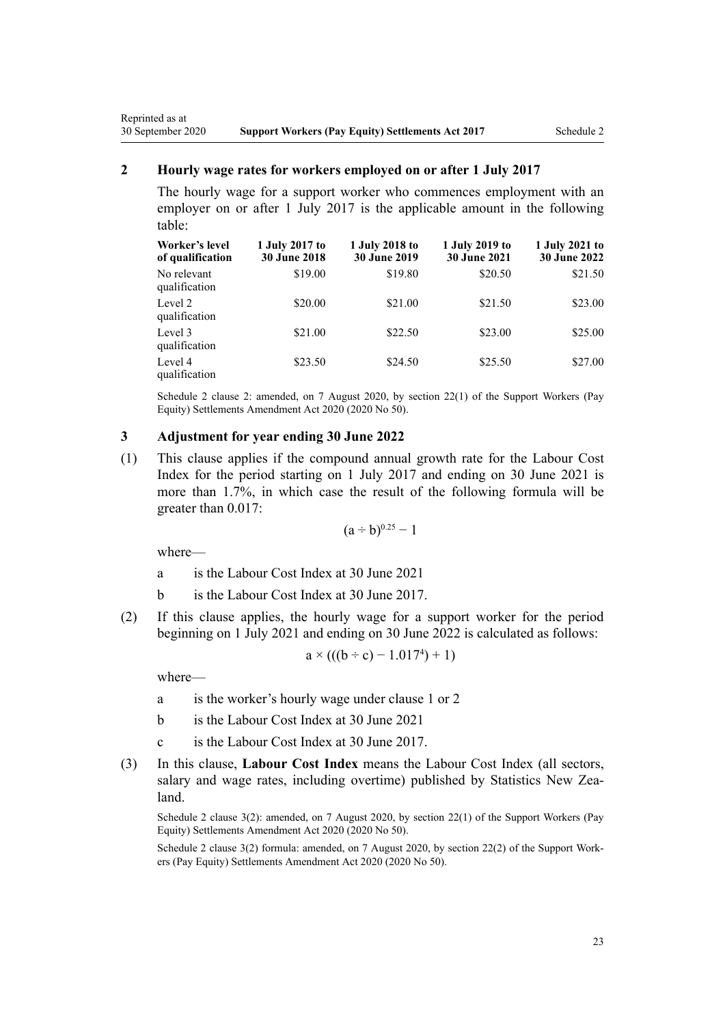#### <span id="page-22-0"></span>**2 Hourly wage rates for workers employed on or after 1 July 2017**

The hourly wage for a support worker who commences employment with an employer on or after 1 July 2017 is the applicable amount in the following table:

| Worker's level<br>of qualification | 1 July 2017 to<br><b>30 June 2018</b> | 1 July 2018 to<br><b>30 June 2019</b> | 1 July 2019 to<br><b>30 June 2021</b> | 1 July 2021 to<br><b>30 June 2022</b> |
|------------------------------------|---------------------------------------|---------------------------------------|---------------------------------------|---------------------------------------|
| No relevant<br>qualification       | \$19.00                               | \$19.80                               | \$20.50                               | \$21.50                               |
| Level 2<br>qualification           | \$20.00                               | \$21.00                               | \$21.50                               | \$23.00                               |
| Level 3<br>qualification           | \$21.00                               | \$22.50                               | \$23.00                               | \$25.00                               |
| Level 4<br>qualification           | \$23.50                               | \$24.50                               | \$25.50                               | \$27.00                               |

Schedule 2 clause 2: amended, on 7 August 2020, by [section 22\(1\)](http://legislation.govt.nz/pdflink.aspx?id=LMS178723) of the Support Workers (Pay Equity) Settlements Amendment Act 2020 (2020 No 50).

#### **3 Adjustment for year ending 30 June 2022**

(1) This clause applies if the compound annual growth rate for the Labour Cost Index for the period starting on 1 July 2017 and ending on 30 June 2021 is more than 1.7%, in which case the result of the following formula will be greater than 0.017:

$$
(a\div b)^{0.25}-1
$$

where—

- a is the Labour Cost Index at 30 June 2021
- b is the Labour Cost Index at 30 June 2017.
- (2) If this clause applies, the hourly wage for a support worker for the period beginning on 1 July 2021 and ending on 30 June 2022 is calculated as follows:

$$
a \times (((b \div c) - 1.0174) + 1)
$$

where—

- a is the worker's hourly wage under [clause 1](#page-21-0) or 2
- b is the Labour Cost Index at 30 June 2021
- c is the Labour Cost Index at 30 June 2017.
- (3) In this clause, **Labour Cost Index** means the Labour Cost Index (all sectors, salary and wage rates, including overtime) published by Statistics New Zealand.

Schedule 2 clause 3(2): amended, on 7 August 2020, by [section 22\(1\)](http://legislation.govt.nz/pdflink.aspx?id=LMS178723) of the Support Workers (Pay Equity) Settlements Amendment Act 2020 (2020 No 50).

Schedule 2 clause 3(2) formula: amended, on 7 August 2020, by [section 22\(2\)](http://legislation.govt.nz/pdflink.aspx?id=LMS178723) of the Support Workers (Pay Equity) Settlements Amendment Act 2020 (2020 No 50).